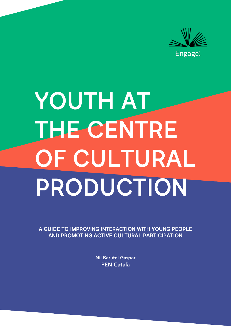

# YOUTH AT THE CENTRE OF CULTURAL PRODUCTION

A GUIDE TO IMPROVING INTERACTION WITH YOUNG PEOPLE AND PROMOTING ACTIVE CULTURAL PARTICIPATION

> Nil Barutel Gaspar PEN Català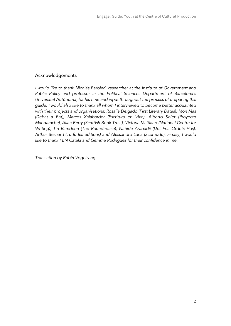## Acknowledgements

*I would like to thank Nicolás Barbieri, researcher at the Institute of Government and Public Policy and professor in the Political Sciences Department of Barcelona's Universitat Autònoma, for his time and input throughout the process of preparing this guide. I would also like to thank all whom I interviewed to become better acquainted with their projects and organisations: Rosalía Delgado (First Literary Dates), Mon Mas (Debat a Bat), Marcos Xalabarder (Escritura en Vivo), Alberto Soler (Proyecto Mandarache), Allan Berry (Scottish Book Trust), Victoria Maitland (National Centre for Writing), Tin Ramdeen (The Roundhouse), Nahide Arabadji (Det Fria Ordets Hus), Arthur Besnard (Turfu les éditions) and Alessandro Luna (Scomodo). Finally, I would like to thank PEN Català and Gemma Rodríguez for their confidence in me.* 

*Translation by Robin Vogelzang*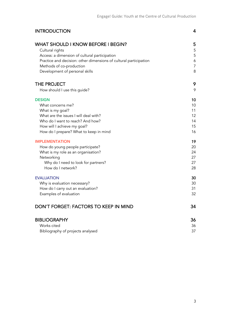| <b>INTRODUCTION</b>                                               | 4              |
|-------------------------------------------------------------------|----------------|
| <b>WHAT SHOULD I KNOW BEFORE I BEGIN?</b>                         | 5              |
| Cultural rights                                                   | 5              |
| Access: a dimension of cultural participation                     | 5              |
| Practice and decision: other dimensions of cultural participation | 6              |
| Methods of co-production                                          | $\overline{7}$ |
| Development of personal skills                                    | 8              |
| THE PROJECT                                                       | 9              |
| How should I use this guide?                                      | 9              |
| <b>DESIGN</b>                                                     | 10             |
| What concerns me?                                                 | 10             |
| What is my goal?                                                  | 11             |
| What are the issues I will deal with?                             | 12             |
| Who do I want to reach? And how?                                  | 14             |
| How will I achieve my goal?                                       | 15             |
| How do I prepare? What to keep in mind                            | 16             |
| <b>IMPLEMENTATION</b>                                             | 19             |
| How do young people participate?                                  | 20             |
| What is my role as an organisation?                               | 24             |
| Networking                                                        | 27             |
| Why do I need to look for partners?                               | 27             |
| How do I network?                                                 | 28             |
| <b>EVALUATION</b>                                                 | 30             |
| Why is evaluation necessary?                                      | 30             |
| How do I carry out an evaluation?                                 | 31             |
| Examples of evaluation                                            | 32             |
| DON'T FORGET: FACTORS TO KEEP IN MIND                             | 34             |
| <b>BIBLIOGRAPHY</b>                                               | 36             |
| Works cited                                                       | 36             |
| Bibliography of projects analysed                                 | 37             |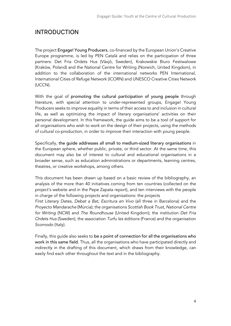# INTRODUCTION

The project Engage! Young Producers, co-financed by the European Union's Creative Europe programme, is led by PEN Català and relies on the participation of three partners: Det Fria Ordets Hus (Växjö, Sweden), Krakowskie Biuro Festiwalowe (Kraków, Poland) and the National Centre for Writing (Norwich, United Kingdom), in addition to the collaboration of the international networks PEN International, International Cities of Refuge Network (ICORN) and UNESCO Creative Cities Network (UCCN).

With the goal of promoting the cultural participation of young people through literature, with special attention to under-represented groups, Engage! Young Producers seeks to improve equality in terms of their access to and inclusion in cultural life, as well as optimizing the impact of literary organisations' activities on their personal development. In this framework, the guide aims to be a tool of support for all organisations who wish to work on the design of their projects, using the methods of cultural co-production, in order to improve their interaction with young people.

Specifically, the guide addresses all small to medium-sized literary organisations in the European sphere, whether public, private, or third sector. At the same time, this document may also be of interest to cultural and educational organisations in a broader sense, such as education administrations or departments, learning centres, theatres, or creative workshops, among others.

This document has been drawn up based on a basic review of the bibliography, an analysis of the more than 40 initiatives coming from ten countries (collected on the project's website and in the Pepe Zapata report), and ten interviews with the people in charge of the following projects and organisations: the projects

*First Literary Dates*, *Debat a Bat*, *Escritura en Vivo* (all three in Barcelona) and the *Proyecto Mandarache* (Múrcia); the organisations *Scottish Book Trust*, *National Centre for Writing* (NCW) and *The Roundhouse* (United Kingdom); the institution *Det Fria Ordets Hus* (Sweden); the association *Turfu les éditions* (France) and the organisation *Scomodo* (Italy).

Finally, this guide also seeks to be a point of connection for all the organisations who work in this same field. Thus, all the organisations who have participated directly and indirectly in the drafting of this document, which draws from their knowledge, can easily find each other throughout the text and in the bibliography.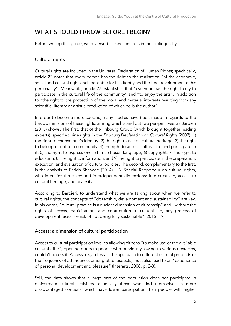# WHAT SHOULD I KNOW BEFORE I BEGIN?

Before writing this guide, we reviewed its key concepts in the bibliography.

## Cultural rights

Cultural rights are included in the Universal Declaration of Human Rights; specifically, article 22 notes that every person has the right to the realisation "of the economic, social and cultural rights indispensable for his dignity and the free development of his personality". Meanwhile, article 27 establishes that "everyone has the right freely to participate in the cultural life of the community" and "to enjoy the arts", in addition to "the right to the protection of the moral and material interests resulting from any scientific, literary or artistic production of which he is the author".

In order to become more specific, many studies have been made in regards to the basic dimensions of these rights, among which stand out two perspectives, as Barbieri (2015) shows. The first, that of the Fribourg Group (which brought together leading experts), specified nine rights in the *Fribourg Declaration on Cultural Rights* (2007): 1) the right to choose one's identity, 2) the right to access cultural heritage, 3) the right to belong or not to a community, 4) the right to access cultural life and participate in it, 5) the right to express oneself in a chosen language, 6) copyright, 7) the right to education, 8) the right to information, and 9) the right to participate in the preparation, execution, and evaluation of cultural policies. The second, complementary to the first, is the analysis of Farida Shaheed (2014), UN Special Rapporteur on cultural rights, who identifies three key and interdependent dimensions: free creativity, access to cultural heritage, and diversity.

According to Barbieri, to understand what we are talking about when we refer to cultural rights, the concepts of "citizenship, development and sustainability" are key. In his words, "cultural practice is a nuclear dimension of citizenship" and "without the rights of access, participation, and contribution to cultural life, any process of development faces the risk of not being fully sustainable" (2015, 19).

## Access: a dimension of cultural participation

Access to cultural participation implies allowing citizens "to make use of the available cultural offer", opening doors to people who previously, owing to various obstacles, couldn't access it. Access, regardless of the approach to different cultural products or the frequency of attendance, among other aspects, must also lead to an "experience of personal development and pleasure" (Interarts, 2008, p. 2-3).

Still, the data shows that a large part of the population does not participate in mainstream cultural activities, especially those who find themselves in more disadvantaged contexts, which have lower participation than people with higher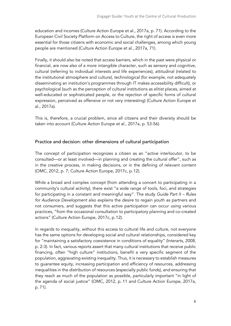education and incomes (Culture Action Europe et al., 2017a, p. 71). According to the European Civil Society Platform on Access to Culture, the right of access is even more essential for those citizens with economic and social challenges, among which young people are mentioned (Culture Action Europe et al., 2017a, 71).

Finally, it should also be noted that access barriers, which in the past were physical or financial, are now also of a more intangible character, such as sensory and cognitive, cultural (referring to individual interests and life experiences), attitudinal (related to the institutional atmosphere and culture), technological (for example, not adequately disseminating an institution's programmes through IT makes accessibility difficult), or psychological (such as the perception of cultural institutions as elitist places, aimed at well-educated or sophisticated people, or the rejection of specific forms of cultural expression, perceived as offensive or not very interesting) (Culture Action Europe et al., 2017a).

This is, therefore, a crucial problem, since all citizens and their diversity should be taken into account (Culture Action Europe et al., 2017a, p. 53-56).

## Practice and decision: other dimensions of cultural participation

The concept of participation recognizes a citizen as an "active interlocutor, to be consulted—or at least involved—in planning and creating the cultural offer", such as in the creative process, in making decisions, or in the defining of relevant content (OMC, 2012, p. 7; Culture Action Europe, 2017c, p.12).

While a broad and complex concept (from attending a concert to participating in a community's cultural activity), there exist "a wide range of tools, foci, and strategies for participating in a constant and meaningful way". The study *Guide Part II – Rules for Audience Development* also explains the desire to regain youth as partners and not consumers, and suggests that this active participation can occur using various practices, "from the occasional consultation to participatory planning and co-created actions" (Culture Action Europe, 2017c, p.12).

In regards to inequality, without this access to cultural life and culture, not everyone has the same options for developing social and cultural relationships, considered key for "maintaining a satisfactory coexistence in conditions of equality" (Interarts, 2008, p. 2-3). In fact, various reports assert that many cultural institutions that receive public financing, often "high culture" institutions, benefit a very specific segment of the population, aggravating existing inequality. Thus, it is necessary to establish measures to guarantee equity, increasing participation and efficiency of resources, addressing inequalities in the distribution of resources (especially public funds), and ensuring that they reach as much of the population as possible, particularly important "in light of the agenda of social justice" (OMC, 2012, p. 11 and Culture Action Europe, 2017a, p. 71).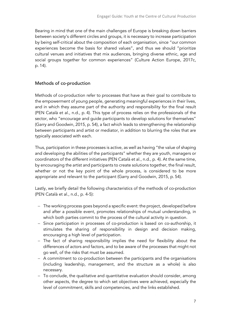Bearing in mind that one of the main challenges of Europe is breaking down barriers between society's different circles and groups, it is necessary to increase participation by being self-critical about the composition of each organisation, since "our common experiences become the basis for shared values", and thus we should "prioritize cultural venues and initiatives that mix audiences, bringing diverse ethnic, age and social groups together for common experiences" (Culture Action Europe, 2017c, p. 14).

## Methods of co-production

Methods of co-production refer to processes that have as their goal to contribute to the empowerment of young people, generating meaningful experiences in their lives, and in which they assume part of the authority and responsibility for the final result (PEN Català et al., n.d., p. 4). This type of process relies on the professionals of the sector, who "encourage and guide participants to develop solutions for themselves" (Garry and Goodwin, 2015, p. 54), a fact which leads to strengthening the relationship between participants and artist or mediator, in addition to blurring the roles that are typically associated with each.

Thus, participation in these processes is active, as well as having "the value of shaping and developing the abilities of the participants" whether they are youth, managers or coordinators of the different initiatives (PEN Català et al., n.d., p. 4). At the same time, by encouraging the artist and participants to create solutions together, the final result, whether or not the key point of the whole process, is considered to be more appropriate and relevant to the participant (Garry and Goodwin, 2015, p. 54).

Lastly, we briefly detail the following characteristics of the methods of co-production (PEN Català et al., n.d., p. 4-5):

- The working process goes beyond a specific event: the project, developed before and after a possible event, promotes relationships of mutual understanding, in which both parties commit to the process of the cultural activity in question.
- Since participation in processes of co-production is based on co-authorship, it stimulates the sharing of responsibility in design and decision making, encouraging a high level of participation.
- The fact of sharing responsibility implies the need for flexibility about the differences of actors and factors, and to be aware of the processes that might not go well, of the risks that must be assumed.
- A commitment to co-production between the participants and the organisations (including leadership, management, and the structure as a whole) is also necessary.
- To conclude, the qualitative and quantitative evaluation should consider, among other aspects, the degree to which set objectives were achieved, especially the level of commitment, skills and competencies, and the links established.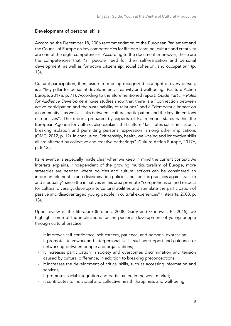## Development of personal skills

According the December 18, 2006 recommendation of the European Parliament and the Council of Europe on key competencies for lifelong learning, culture and creativity are one of the eight competencies. According to the document, moreover, these are the competencies that "all people need for their self-realization and personal development, as well as for active citizenship, social cohesion, and occupation" (p. 13).

Cultural participation, then, aside from being recognized as a right of every person, is a "key pillar for personal development, creativity and well-being" (Culture Action Europe, 2017a, p. 71). According to the aforementioned report, *Guide Part II – Rules for Audience Development*, case studies show that there is a "connection between active participation and the sustainability of relations" and a "democratic impact on a community", as well as links between "cultural participation and the key dimensions of our lives". The report, prepared by experts of EU member states within the European Agenda for Culture, also explains that culture "facilitates social inclusion", breaking isolation and permitting personal expression, among other implications (OMC, 2012, p. 12). In conclusion, "citizenship, health, well-being and innovative skills all are affected by collective and creative gatherings" (Culture Action Europe, 2017c, p. 8-12).

Its relevance is especially made clear when we keep in mind the current context. As Interarts explains, "independent of the growing multiculturalism of Europe, more strategies are needed where policies and cultural actions can be considered an important element in anti-discrimination policies and specific practices against racism and inequality" since the initiatives in this area promote "comprehension and respect for cultural diversity, develop intercultural abilities and stimulate the participation of passive and disadvantaged young people in cultural experiences" (Interarts, 2008, p. 18).

Upon review of the literature (Interarts, 2008; Garry and Goodwin, P., 2015), we highlight some of the implications for the personal development of young people through cultural practice:

- It improves self-confidence, self-esteem, patience, and personal expression;
- it promotes teamwork and interpersonal skills, such as support and guidance or networking between people and organizations;
- it increases participation in society and overcomes discrimination and tension caused by cultural difference, in addition to breaking preconceptions;
- it increases the development of critical skills, such as accessing information and services;
- it promotes social integration and participation in the work market;
- it contributes to individual and collective health, happiness and well-being.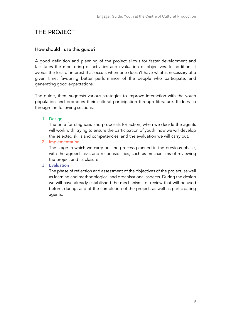# THE PROJECT

## How should I use this guide?

A good definition and planning of the project allows for faster development and facilitates the monitoring of activities and evaluation of objectives. In addition, it avoids the loss of interest that occurs when one doesn't have what is necessary at a given time, favouring better performance of the people who participate, and generating good expectations.

The guide, then, suggests various strategies to improve interaction with the youth population and promotes their cultural participation through literature. It does so through the following sections:

1. Design

The time for diagnosis and proposals for action, when we decide the agents will work with, trying to ensure the participation of youth, how we will develop the selected skills and competencies, and the evaluation we will carry out.

2. Implementation

The stage in which we carry out the process planned in the previous phase, with the agreed tasks and responsibilities, such as mechanisms of reviewing the project and its closure.

3. Evaluation

The phase of reflection and assessment of the objectives of the project, as well as learning and methodological and organisational aspects. During the design we will have already established the mechanisms of review that will be used before, during, and at the completion of the project, as well as participating agents.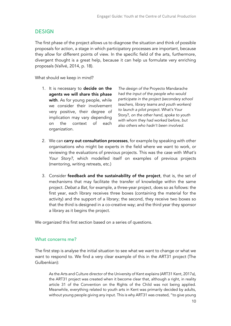## **DESIGN**

The first phase of the project allows us to diagnose the situation and think of possible proposals for action, a stage in which participatory processes are important, because they allow for different points of view. In the specific field of the arts, furthermore, divergent thought is a great help, because it can help us formulate very enriching proposals (Vallvé, 2014, p. 18).

What should we keep in mind?

1. It is necessary to decide on the agents we will share this phase with. As for young people, while we consider their involvement very positive, their degree of implication may vary depending on the context of each organization.

*The design of the* Proyecto Mandarache *had the input of the people who would participate in the project (secondary school teachers, library teams and youth workers) to launch a pilot project.* What's Your Story?*, on the other hand, spoke to youth with whom they had worked before, but also others who hadn't been involved.* 

- 2. We can carry out consultation processes, for example by speaking with other organisations who might be experts in the field where we want to work, or reviewing the evaluations of previous projects. This was the case with *What's Your Story?*, which modelled itself on examples of previous projects (mentoring, writing retreats, etc.)
- 3. Consider feedback and the sustainability of the project, that is, the set of mechanisms that may facilitate the transfer of knowledge within the same project. *Debat a Bat*, for example, a three-year project, does so as follows: the first year, each library receives three boxes (containing the material for the activity) and the support of a library; the second, they receive two boxes so that the third is designed in a co-creative way; and the third year they sponsor a library as it begins the project.

We organized this first section based on a series of questions.

## What concerns me?

The first step is analyse the initial situation to see what we want to change or what we want to respond to. We find a very clear example of this in the ART31 project (The Gulbenkian):

As the Arts and Culture director of the University of Kent explains (ART31 Kent, 2017a), the ART31 project was created when it become clear that, although a right, in reality article 31 of the Convention on the Rights of the Child was not being applied. Meanwhile, everything related to youth arts in Kent was primarily decided by adults, without young people giving any input. This is why ART31 was created, "to give young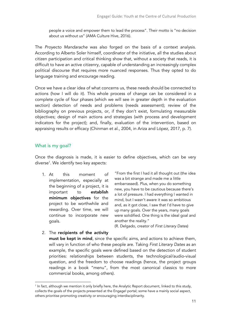people a voice and empower them to lead the process". Their motto is "no decision about us without us" (AMA Culture Hive, 2016).

The *Proyecto Mandarache* was also forged on the basis of a context analysis. According to Alberto Soler himself, coordinator of the initiative, all the studies about citizen participation and critical thinking show that, without a society that reads, it is difficult to have an active citizenry, capable of understanding an increasingly complex political discourse that requires more nuanced responses. Thus they opted to do language training and encourage reading.

Once we have a clear idea of what concerns us, these needs should be connected to actions (how I will do it). This whole process of change can be considered in a complete cycle of four phases (which we will see in greater depth in the evaluation section) detection of needs and problems (needs assessment); review of the bibliography on previous projects, or, if they don't exist, formulating measurable objectives; design of main actions and strategies (with process and development indicators for the project); and, finally, evaluation of the intervention, based on appraising results or efficacy (Chinman et al., 2004, in Ariza and López, 2017, p. 7).

## What is my goal?

Once the diagnosis is made, it is easier to define objectives, which can be very diverse1 . We identify two key aspects:

1. At this moment of implementation, especially at the beginning of a project, it is important to establish minimum objectives for the project to be worthwhile and rewarding. Over time, we will continue to incorporate new goals.

"From the first I had it all thought out (the idea was a bit strange and made me a little embarrassed). Plus, when you do something new, you have to be cautious because there's a lot of pressure. I had everything I wanted in mind, but I wasn't aware it was so ambitious and, as it got close, I saw that I'd have to give up many goals. Over the years, many goals were solidified. One thing is the ideal goal and another the reality."

(R. Delgado, creator of *First Literary Dates*)

2. The recipients of the activity must be kept in mind, since the specific aims, and actions to achieve them, will vary in function of who these people are. Taking *First Literary Dates* as an example, the specific goals were defined based on the detection of student priorities: relationships between students, the technological/audio-visual question, and the freedom to choose readings (hence, the project groups readings in a book "menu", from the most canonical classics to more commercial books, among others).

<sup>&</sup>lt;sup>1</sup> In fact, although we mention it only briefly here, the Analytic Report document, linked to this study, collects the goals of the projects presented at the Engage! portal; some have a mainly social aspect, others prioritise promoting creativity or encouraging interdisciplinarity.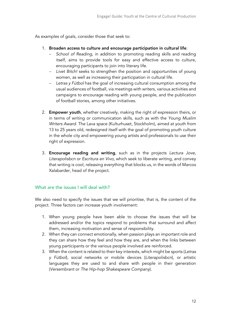As examples of goals, consider those that seek to:

- 1. Broaden access to culture and encourage participation in cultural life:
	- *School of Reading*, in addition to promoting reading skills and reading itself, aims to provide tools for easy and effective access to culture, encouraging participants to join into literary life.
	- *Livet Bitch!* seeks to strengthen the position and opportunities of young women, as well as increasing their participation in cultural life.
	- *Letras y Fútbol* has the goal of increasing cultural consumption among the usual audiences of football, via meetings with writers, various activities and campaigns to encourage reading with young people, and the publication of football stories, among other initiatives.
- 2. **Empower youth**, whether creatively, making the right of expression theirs, or in terms of writing or communication skills, such as with the *Young Muslim Writers Award*. The Lava space (Kulturhuset, Stockholm), aimed at youth from 13 to 25 years old, redesigned itself with the goal of promoting youth culture in the whole city and empowering young artists and professionals to use their right of expression.
- 3. Encourage reading and writing, such as in the projects *Lectura Jove*, *Literapolisbcn* or *Escritura en Vivo*, which seek to liberate writing, and convey that writing is cool, releasing everything that blocks us, in the words of Marcos Xalabarder, head of the project.

## What are the issues I will deal with?

We also need to specify the issues that we will prioritise, that is, the content of the project. Three factors can increase youth involvement:

- 1. When young people have been able to choose the issues that will be addressed and/or the topics respond to problems that surround and affect them, increasing motivation and sense of responsibility.
- 2. When they can connect emotionally, when passion plays an important role and they can share how they feel and how they are, and when the links between young participants or the various people involved are reinforced.
- 3. When the content is related to their key interests, which might be sports (*Letras y Fútbol*), social networks or mobile devices (*Literapolisbcn*), or artistic languages they are used to and share with people in their generation (*Versembrant* or *The Hip-hop Shakespeare Company*).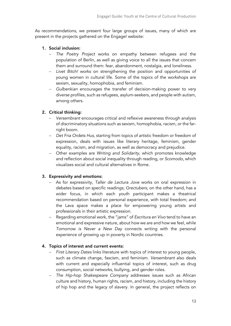As recommendations, we present four large groups of issues, many of which are present in the projects gathered on the Engage! website:

## 1. Social inclusion:

- *The Poetry Project* works on empathy between refugees and the population of Berlin, as well as giving voice to all the issues that concern them and surround them: fear, abandonment, nostalgia, and loneliness.
- *Livet Bitch!* works on strengthening the position and opportunities of young women in cultural life. Some of the topics of the workshops are sexism, sexuality, homophobia, and feminism.
- *Gulbenkian* encourages the transfer of decision-making power to very diverse profiles, such as refugees, asylum-seekers, and people with autism, among others.

## 2. Critical thinking:

- *Versembrant* encourages critical and reflexive awareness through analysis of discriminatory situations such as sexism, homophobia, racism, or the farright boom.
- *Det Fria Ordets Hus*, starting from topics of artistic freedom or freedom of expression, deals with issues like literary heritage, feminism, gender equality, racism, and migration, as well as democracy and prejudice.
- Other examples are *Writing and Solidarity*, which promotes knowledge and reflection about social inequality through reading, or *Scomodo*, which visualizes social and cultural alternatives in Rome.

## 3. Expressivity and emotions:

- As for expressivity, *Taller de Lectura Jove* works on oral expression in debates based on specific readings; *Grectubers*, on the other hand, has a wider focus, in which each youth participant makes a theatrical recommendation based on personal experience, with total freedom; and the Lava space makes a place for empowering young artists and professionals in their artistic expression.
- Regarding emotional work, the "jams" of *Escritura en Vivo* tend to have an emotional and expressive nature, about how we are and how we feel, while *Tomorrow is Never a New Day* connects writing with the personal experience of growing up in poverty in Nordic countries.

## 4. Topics of interest and current events:

- *First Literary Dates* links literature with topics of interest to young people, such as climate change, fascism, and feminism. *Versembrant* also deals with current and especially influential topics of interest, such as drug consumption, social networks, bullying, and gender roles.
- *The Hip-hop Shakespeare Company* addresses issues such as African culture and history, human rights, racism, and history, including the history of hip hop and the legacy of slavery. In general, the project reflects on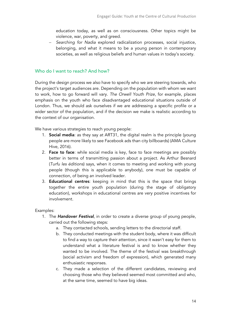education today, as well as on consciousness. Other topics might be violence, war, poverty, and greed.

- *Searching for Nadia* explored radicalization processes, social injustice, belonging, and what it means to be a young person in contemporary societies, as well as religious beliefs and human values in today's society.

## Who do I want to reach? And how?

During the design process we also have to specify who we are steering towards, who the project's target audiences are. Depending on the population with whom we want to work, how to go forward will vary. *The Orwell Youth Prize*, for example, places emphasis on the youth who face disadvantaged educational situations outside of London. Thus, we should ask ourselves if we are addressing a specific profile or a wider sector of the population, and if the decision we make is realistic according to the context of our organisation.

We have various strategies to reach young people:

- 1. Social media: as they say at ART31, the digital realm is the principle (young people are more likely to see Facebook ads than city billboards) (AMA Culture Hive, 2016).
- 2. Face to face: while social media is key, face to face meetings are possibly better in terms of transmitting passion about a project. As Arthur Besnard (*Turfu les éditions*) says, when it comes to meeting and working with young people (though this is applicable to anybody), one must be capable of connection, of being an involved leader.
- 3. Educational centres: keeping in mind that this is the space that brings together the entire youth population (during the stage of obligatory education), workshops in educational centres are very positive incentives for involvement.

Examples:

- 1. The *Handover Festival*, in order to create a diverse group of young people, carried out the following steps:
	- a. They contacted schools, sending letters to the directorial staff.
	- b. They conducted meetings with the student body, where it was difficult to find a way to capture their attention, since it wasn't easy for them to understand what a literature festival is and to know whether they wanted to be involved. The theme of the festival was breakthrough (social activism and freedom of expression), which generated many enthusiastic responses.
	- c. They made a selection of the different candidates, reviewing and choosing those who they believed seemed most committed and who, at the same time, seemed to have big ideas.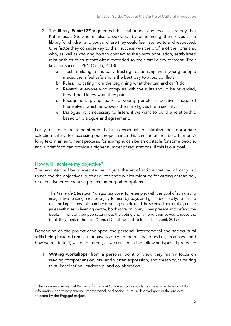- 2. The library *Punkt127* segmented the institutional audience (a strategy that Kulturhuset, Stockholm, also developed) by announcing themselves as a library for children and youth, where they could feel listened to and respected. One factor they consider key to their success was the profile of the librarians, who, as well as knowing how to connect to the youth population, established relationships of trust that often extended to their family environment. Their keys for success (PEN Català, 2018):
	- a. Trust: building a mutually trusting relationship with young people makes them feel safe and is the best way to avoid conflicts.
	- b. Rules: indicating from the beginning what they can and can't do.
	- c. Reward: everyone who complies with the rules should be rewarded, they should know what they gain.
	- d. Recognition: giving back to young people a positive image of themselves, which empowers them and gives them security.
	- e. Dialogue: it is necessary to listen, if we want to build a relationship based on dialogue and agreement.

Lastly, it should be remembered that it is essential to establish the appropriate selection criteria for accessing our project, since this can sometimes be a barrier. A long text in an enrolment process, for example, can be an obstacle for some people, and a brief form can provide a higher number of registrations, if this is our goal.

## How will I achieve my objective?

The next step will be to execute the project, the set of actions that we will carry out to achieve the objectives, such as a workshop (which might be for writing or reading), or a creative or co-creative project, among other options.

The *Premi de Literatura Protagonista Jove*, for example, with the goal of stimulating imaginative reading, creates a jury formed by boys and girls. Specifically, to ensure that the largest possible number of young people read the selected books, they create juries within each learning centre, book store or library. They present and defend the books in front of their peers, carry out the voting and, among themselves, choose the book they think is the best (Consell Català del Llibre Infantil i Juvenil, 2019).

Depending on the project developed, the personal, interpersonal and sociocultural skills being fostered (those that have to do with the reality around us, its analysis and how we relate to it) will be different, as we can see in the following types of projects $^2\!$ :

1. Writing workshops: from a personal point of view, they mainly focus on reading comprehension, oral and written expression, and creativity, favouring trust, imagination, leadership, and collaboration.

<sup>2</sup> The document Analytical Report *Informe analític*, linked to this study, contains an extension of this information, analysing personal, interpersonal, and sociocultural skills developed in the projects selected by the Engage! project.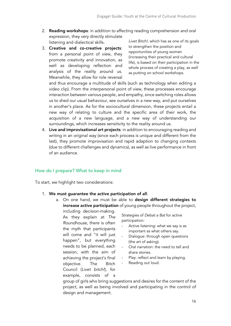- 2. **Reading workshops:** in addition to affecting reading comprehension and oral expression, they very directly stimulate listening and dialectical skills.
- 3. Creative and co-creative projects: from a personal point of view, they promote creativity and innovation, as well as developing reflection and analysis of the reality around us. Meanwhile, they allow for role reversal

*Livet Bitch!,* which has as one of its goals to strengthen the position and opportunities of young women (increasing their practical and cultural life), is based on their participation in the whole process of creating a play, as well as putting on school workshops.

and thus encourage a multitude of skills (such as technology when editing a video clip). From the interpersonal point of view, these processes encourage interaction between various people, and empathy, since switching roles allows us to shed our usual behaviour, see ourselves in a new way, and put ourselves in another's place. As for the sociocultural dimension, these projects entail a new way of relating to culture and the specific area of their work, the acquisition of a new language, and a new way of understanding our surroundings, which increases sensitivity to the reality around us.

4. Live and improvisational art projects: in addition to encouraging reading and writing in an original way (since each process is unique and different from the last), they promote improvisation and rapid adaption to changing contexts (due to different challenges and dynamics), as well as live performance in front of an audience.

## How do I prepare? What to keep in mind

To start, we highlight two considerations:

- 1. We must guarantee the active participation of all:
	- a. On one hand, we must be able to design different strategies to increase active participation of young people throughout the project,

including decision-making. As they explain at *The Roundhouse*, there is often the myth that participants will come and "it will just happen", but everything needs to be planned, each session, with the aim of achieving the project's final objective. The Bitch Council (*Livet bitch!*), for example, consists of a

Strategies of *Debat a Bat* for active participation:

- Active listening: what we say is as important as what others say.
- Dialogue: through open questions (the art of asking).
- Oral narration: the need to tell and share stories.
- Play: reflect and learn by playing.
- Reading out loud.

group of girls who bring suggestions and desires for the content of the project, as well as being involved and participating in the control of design and management.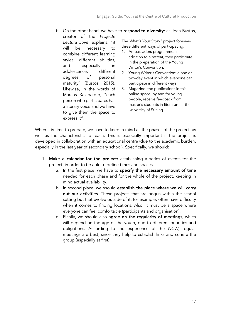b. On the other hand, we have to respond to diversity: as Joan Bustos,

creator of the *Projecte Lectura Jove*, explains, "it will be necessary to combine different learning styles, different abilities, and especially in adolescence, different degrees of personal maturity" (Bustos, 2015). Likewise, in the words of Marcos Xalabarder, "each person who participates has a literary voice and we have to give them the space to express it".

The *What's Your Story?* project foresees three different ways of participating:

- 1. Ambassadors programme: in addition to a retreat, they participate in the preparation of the Young Writer's Convention.
- 2. Young Writer's Convention: a one or two-day event in which everyone can participate in different ways.
- 3. Magazine: the publications in this online space, by and for young people, receive feedback from master's students in literature at the University of Stirling.

When it is time to prepare, we have to keep in mind all the phases of the project, as well as the characteristics of each. This is especially important if the project is developed in collaboration with an educational centre (due to the academic burden, especially in the last year of secondary school). Specifically, we should:

- 1. Make a calendar for the project: establishing a series of events for the project, in order to be able to define times and spaces.
	- a. In the first place, we have to specify the necessary amount of time needed for each phase and for the whole of the project, keeping in mind actual availability.
	- b. In second place, we should establish the place where we will carry out our activities. Those projects that are begun within the school setting but that evolve outside of it, for example, often have difficulty when it comes to finding locations. Also, it must be a space where everyone can feel comfortable (participants and organisation).
	- c. Finally, we should also agree on the regularity of meetings, which will depend on the age of the youth, due to different priorities and obligations. According to the experience of the *NCW*, regular meetings are best, since they help to establish links and cohere the group (especially at first).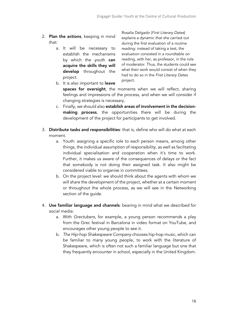- 2. Plan the actions, keeping in mind that:
	- a. It will be necessary to establish the mechanisms by which the youth can acquire the skills they will develop throughout the project.

Rosalía Delgado (*First Literary Dates*) explains a dynamic that she carried out during the first evaluation of a routine reading: instead of taking a test, the evaluation consisted in a roundtable on reading, with her, as professor, in the role of moderator. Thus, the students could see what their work would consist of when they had to do so in the *First Literary Dates*  project*.*

- b. It is also important to **leave** spaces for oversight, the moments when we will reflect, sharing feelings and impressions of the process, and when we will consider if changing strategies is necessary.
- c. Finally, we should also establish areas of involvement in the decisionmaking process, the opportunities there will be during the development of the project for participants to get involved.
- 3. Distribute tasks and responsibilities: that is, define who will do what at each moment.
	- a. Youth: assigning a specific role to each person means, among other things, the individual assumption of responsibility, as well as facilitating individual specialisation and cooperation when it's time to work. Further, it makes us aware of the consequences of delays or the fact that somebody is not doing their assigned task. It also might be considered viable to organise in committees.
	- b. On the project level: we should think about the agents with whom we will share the development of the project, whether at a certain moment or throughout the whole process, as we will see in the Networking section of the quide.
- 4. Use familiar language and channels: bearing in mind what we described for social media:
	- a. With *Grectubers*, for example, a young person recommends a play from the Grec festival in Barcelona in video format on YouTube, and encourages other young people to see it.
	- b. *The Hip-hop Shakespeare Company* chooses hip-hop music, which can be familiar to many young people, to work with the literature of Shakespeare, which is often not such a familiar language but one that they frequently encounter in school, especially in the United Kingdom.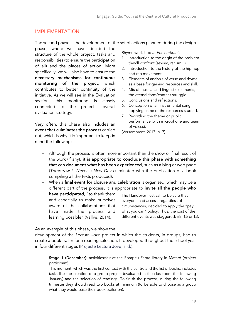## IMPLEMENTATION

The second phase is the development of the set of actions planned during the design

phase, where we have decided the structure of the whole project, tasks and responsibilities (to ensure the participation of all) and the places of action. More specifically, we will also have to ensure the necessary mechanisms for continuous monitoring of the project, which contributes to better continuity of the initiative. As we will see in the Evaluation section, this monitoring is closely connected to the project's overall evaluation strategy.

Very often, this phase also includes an event that culminates the process carried out, which is why it is important to keep in mind the following:

Rhyme workshop at *Versembrant*:

- 1. Introduction to the origin of the problem they'll confront (sexism, racism...).
- 2. Introduction to the history of the hip-hop and rap movement.
- 3. Elements of analysis of verse and rhyme as a base for gaining resources and skill.
- 4. Mix of musical and linguistic elements, the eternal form/content struggle.
- 5. Conclusions and reflections.
- 6. Conception of an instrumental song, applying some of the resources studied.
- 7. Recording the theme or public performance (with microphone and team of voices).

(Versembrant, 2017, p. 7)

- Although the process is often more important than the show or final result of the work (if any), it is appropriate to conclude this phase with something that can document what has been experienced, such as a blog or web page (*Tomorrow is Never a New Day* culminated with the publication of a book compiling all the texts produced).
- When a final event for closure and celebration is organised, which may be a different part of the process, it is appropriate to invite all the people who

have participated, "to thank them and especially to make ourselves aware of the collaborations that have made the process and learning possible" (Vallvé, 2014).

The Handover Festival, to be sure that everyone had access, regardless of circumstances, decided to apply the "pay what you can" policy. Thus, the cost of the different events was staggered: £8, £5 or £3.

As an example of this phase, we show the

development of the *Lectura Jove* project in which the students, in groups, had to create a book trailer for a reading selection. It developed throughout the school year in four different stages (Projecte Lectura Jove, s. d.):

1. Stage 1 (December): activities/fair at the Pompeu Fabra library in Mataró (project participant).

This moment, which was the first contact with the centre and the list of books, includes tasks like the creation of a group project (evaluated in the classroom the following January) and the selection of readings. To finish the process, during the following trimester they should read two books at minimum (to be able to choose as a group what they would base their book trailer on).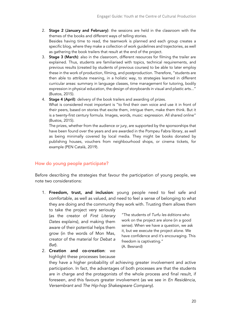- 2. Stage 2 (January and February): the sessions are held in the classroom with the themes of the books and different ways of telling stories. Besides having time to read, the teamwork is planned and each group creates a specific blog, where they make a collection of work guidelines and trajectories, as well as gathering the book trailers that result at the end of the project.
- 3. Stage 3 (March): also in the classroom, different resources for filming the trailer are explained. Thus, students are familiarised with topics, technical requirements, and previous results (created by students of previous courses) to be able to later employ these in the work of production, filming, and postproduction. Therefore, "students are then able to attribute meaning, in a holistic way, to strategies learned in different curricular areas: summary in language classes, time management for tutoring, bodily expression in physical education, the design of storyboards in visual and plastic arts..." (Bustos, 2015).
- 4. Stage 4 (April): delivery of the book trailers and awarding of prizes.

What is considered most important is "to find their own voice and use it in front of their peers, based on stories that excite them, intrigue them, make them think. But it is a twenty-first century formula. Images, words, music: expression. All shared online" (Bustos, 2015).

The prizes, whether from the audience or jury, are supported by the sponsorships that have been found over the years and are awarded in the Pompeu Fabra library, as well as being minimally covered by local media. They might be books donated by publishing houses, vouchers from neighbourhood shops, or cinema tickets, for example (PEN Català, 2019).

#### How do young people participate?

Before describing the strategies that favour the participation of young people, we note two considerations:

1. Freedom, trust, and inclusion: young people need to feel safe and comfortable, as well as valued, and need to feel a sense of belonging to what they are doing and the community they work with. Trusting them allows them

to take the project very seriously (as the creator of *First Literary Dates* explains), and making them aware of their potential helps them grow (in the words of Mon Mas, creator of the material for *Debat a Bat*).

2. Creation and co-creation: we highlight these processes because

"The students of *Turfu les éditions* who work on the project are alone (in a good sense). When we have a question, we ask it, but we execute the project alone. We have confidence and it's encouraging. This freedom is captivating." (A. Besnard)

they have a higher probability of achieving greater involvement and active participation. In fact, the advantages of both processes are that the students are in charge and the protagonists of the whole process and final result, if foreseen, and this favours greater involvement (as we see in *En Residència*, *Versembrant* and *The Hip-hop Shakespeare Company*).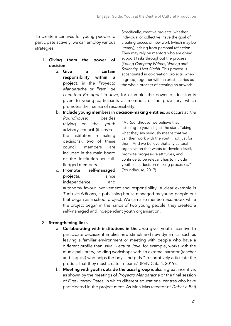To create incentives for young people to participate actively, we can employ various strategies:

- 1. Giving them the power of decision:
	- a. Give a certain responsibility within a project: in the *Proyecto Mandarache* or *Premi de*  promotes their sense of responsibility.

Specifically, creative projects, whether individual or collective, have the goal of creating pieces of new work (which may be literary), arising from personal reflection. They may rely on mentors who are doing support tasks throughout the process (*Young Company Writers*, *Writing and Solidarity*, *Livet Bitch!*). This process is accentuated in co-creation projects, when a group, together with an artist, carries out the whole process of creating an artwork.

*Literatura Protagonista Jove*, for example, the power of decision is given to young participants as members of the prize jury, which

b. Include young members in decision-making entities, as occurs at *The* 

*Roundhouse*: besides relying on the youth advisory council (it advises the institution in making decisions), two of these council members are included in the main board of the institution as fullfledged members.

"At Roundhouse, we believe that listening to youth is just the start. Taking what they say seriously means that we can then work with the youth, not just for them. And we believe that any cultural organisation that wants to develop itself, promote progressive attitudes, and continue to be relevant has to include youth in its decision-making processes." (Roundhouse, 2017)

c. Promote self-managed projects, since independence and

> autonomy favour involvement and responsibility. A clear example is *Turfu les éditions*, a publishing house managed by young people but that began as a school project. We can also mention *Scomodo*: while the project began in the hands of two young people, they created a self-managed and independent youth organisation.

## 2. Strengthening links:

- a. Collaborating with institutions in the area gives youth incentive to participate because it implies new stimuli and new dynamics, such as leaving a familiar environment or meeting with people who have a different profile than usual. *Lectura Jove*, for example, works with the municipal library, holding workshops with an external narrator (teacher and linguist) who helps the boys and girls "to narratively articulate the product that they must create in teams" (PEN Català, 2019).
- b. Meeting with youth outside the usual group is also a great incentive, as shown by the meetings of *Proyecto Mandarache* or the final session of *First Literary Dates*, in which different educational centres who have participated in the project meet. As Mon Mas (creator of *Debat a Bat*)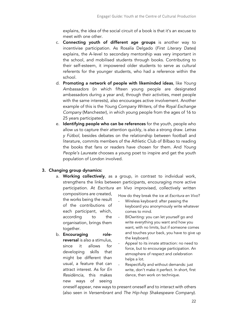explains, the idea of the social circuit of a book is that it's an excuse to meet with one other.

- c. Connecting youth of different age groups is another way to incentivise participation. As Rosalía Delgado (*First Literary Dates*) explains, the A-level to secondary mentorship was very important in the school, and mobilised students through books. Contributing to their self-esteem, it impowered older students to serve as cultural referents for the younger students, who had a reference within the school.
- d. Promoting a network of people with likeminded ideas, like *Young Ambassadors* (in which fifteen young people are designated ambassadors during a year and, through their activities, meet people with the same interests), also encourages active involvement. Another example of this is the *Young Company Writers*, of the *Royal Exchange Company* (Manchester), in which young people from the ages of 16 to 25 years participated.
- e. Identifying people who can be references for the youth, people who allow us to capture their attention quickly, is also a strong draw. *Letras y Fútbol*, besides debates on the relationship between football and literature, commits members of the Athletic Club of Bilbao to reading the books that fans or readers have chosen for them. And *Young People's Laureate* chooses a young poet to inspire and get the youth population of London involved.

## 3. Changing group dynamics:

a. Working collectively, as a group, in contrast to individual work, strengthens the links between participants, encouraging more active participation. At *Escritura en Vivo* improvised, collectively written

compositions are created, the works being the result of the contributions of each participant, which, according to the organisation, brings them together.

b. **Encouraging** rolereversal is also a stimulus, since it allows for developing skills that might be different than usual, a feature that can attract interest. As for *En Residència*, this makes new ways of seeing

How do they break the ice at *Escritura en Vivo*?

- Wireless keyboard: after passing the keyboard you anonymously write whatever comes to mind.
- BIOwriting: you can let yourself go and write everything you want and how you want, with no limits, but if someone comes and touches your back, you have to give up the keyboard.
- Appeal to its innate attraction: no need to force, but to encourage participation. An atmosphere of respect and celebration helps a lot.
- Respectfully and without demands: just write, don't make it perfect. In short, first dance, then work on technique.

oneself appear, new ways to present oneself and to interact with others (also seen in *Versembrant* and *The Hip-hop Shakespeare Company*).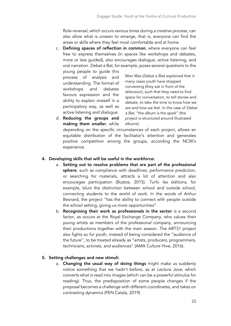Role-reversal, which occurs various times during a creative process, can also allow what is unseen to emerge, that is, everyone can find the areas or skills where they feel most comfortable and at home.

c. Defining spaces of reflection in common, where everyone can feel free to express themselves (in spaces like workshops and debates, more or less guided), also encourages dialogue, active listening, and oral narration. *Debat a Bat*, for example, poses several questions to the

young people to guide this process of analysis and understanding. The format of workshops and debates favours expression and the ability to explain oneself in a participatory way, as well as active listening and dialogue.

d. Reducing the groups and

Mon Mas (*Debat a Bat*) explained that in many cases youth have stopped conversing (they eat in front of the television), such that they need to find space for conversation, to tell stories and debate, to take the time to know how we are and how we feel. In the case of *Debat a Bat*, "the album is the spark" (the project is structured around illustrated albums).

making them smaller, while depending on the specific circumstances of each project, allows an equitable distribution of the facilitator's attention and generates positive competition among the groups, according the NCW's experience.

## 4. Developing skills that will be useful in the workforce:

- a. Setting out to resolve problems that are part of the professional sphere, such as compliance with deadlines, performance prediction, or searching for materials, attracts a lot of attention and also encourages participation (Bustos, 2015). *Turfu les éditions*, for example, blurs the distinction between school and outside school, connecting students to the world of work. In the words of Arthur Besnard, the project "has the ability to connect with people outside the school setting, giving us more opportunities".
- b. Recognising their work as professionals in the sector is a second factor, as occurs at the Royal Exchange Company, who values their young artists as members of the professional company, announcing their productions together with the main season. The ART31 project also fights so for youth, instead of being considered the "audience of the future", to be treated already as "artists, producers, programmers, technicians, activists, and audiences" (AMA Culture Hive, 2016).

## 5. Setting challenges and new stimuli:

a. Changing the usual way of doing things might make us suddenly notice something that we hadn't before, as at *Lectura Jove*, which converts what is read into images (which can be a powerful stimulus for reading). Thus, the predisposition of some people changes if the proposal becomes a challenge with different coordinates, and takes on contrasting dynamics (PEN Català, 2019).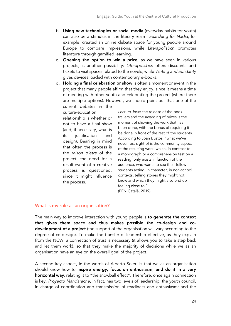- b. Using new technologies or social media (everyday habits for youth) can also be a stimulus in the literary realm. *Searching for Nadia*, for example, created an online debate space for young people around Europe to compare impressions, while *Literapolisbcn* promotes literature through gamified learning.
- c. Opening the option to win a prize, as we have seen in various projects, is another possibility: *Literapolisbcn* offers discounts and tickets to visit spaces related to the novels, while *Writing and Solidarity* gives devices loaded with contemporary e-books.
- d. Holding a final celebration or show is often a moment or event in the project that many people affirm that they enjoy, since it means a time of meeting with other youth and celebrating the project (where there are multiple options). However, we should point out that one of the current debates in the

culture-education relationship is whether or not to have a final show (and, if necessary, what is its justification and design). Bearing in mind that often the process is the *raison d'etre* of the project, the need for a result-event of a creative process is questioned, since it might influence the process.

*Lectura Jove*: the release of the book trailers and the awarding of prizes is the moment of showing the work that has been done, with the bonus of requiring it be done in front of the rest of the students. According to Joan Bustos, "what we've never lost sight of is the community aspect of the resulting work, which, in contrast to a monograph or a comprehension test on a reading, only exists in function of the audience, who wants to see their fellow students acting, in character, in non-school contexts, telling stories they might not know and which they might also end up feeling close to." (PEN Català, 2019)

## What is my role as an organisation?

The main way to improve interaction with young people is to generate the context that gives them space and thus makes possible the co-design and codevelopment of a project (the support of the organisation will vary according to the degree of co-design). To make the transfer of leadership effective, as they explain from the NCW, a connection of trust is necessary (it allows you to take a step back and let them work), so that they make the majority of decisions while we as an organisation have an eye on the overall goal of the project.

A second key aspect, in the words of Alberto Soler, is that we as an organisation should know how to inspire energy, focus on enthusiasm, and do it in a very horizontal way, relating it to "the snowball effect". Therefore, once again connection is key. *Proyecto Mandarache*, in fact, has two levels of leadership: the youth council, in charge of coordination and transmission of readiness and enthusiasm; and the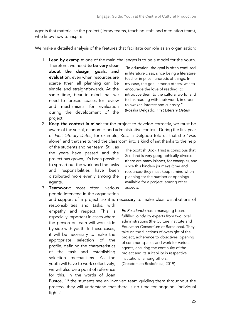agents that materialise the project (library teams, teaching staff, and mediation team), who know how to inspire.

We make a detailed analysis of the features that facilitate our role as an organisation:

1. Lead by example: one of the main challenges is to be a model for the youth.

Therefore, we need to be very clear about the design, goals, and evaluation, even when resources are scarce (then all planning can be simple and straightforward). At the same time, bear in mind that we need to foresee spaces for review and mechanisms for evaluation during the development of the project.

"In education, the goal is often confused in literature class, since being a literature teacher implies hundreds of things. In my case, the goal, among others, was to encourage the love of reading, to introduce them to the cultural world, and to link reading with their world, in order to awaken interest and curiosity." (Rosalía Delgado, *First Literary Dates*)

2. Keep the context in mind: for the project to develop correctly, we must be aware of the social, economic, and administrative context. During the first year of *First Literary Dates*, for example, Rosalía Delgado told us that she "was alone" and that she turned the classroom into a kind of set thanks to the help

of the students and her team. Still, as the years have passed and the project has grown, it's been possible to spread out the work and the tasks and responsibilities have been distributed more evenly among the agents.

3. Teamwork: most often, various people intervene in the organisation

for this. In the words of Joan

and support of a project, so it is necessary to make clear distributions of responsibilities and tasks, with empathy and respect. This is especially important in cases where the person or team will work side by side with youth. In these cases, it will be necessary to make the appropriate selection of the profile, defining the characteristics of the task and establishing selection mechanisms. As the youth will have to work collectively, we will also be a point of reference

The Scottish Book Trust is conscious that Scotland is very geographically diverse (there are many islands, for example), and since this hinders journeys (time and resources) they must keep it mind when planning for the number of openings available for a project, among other aspects.

*En Residència* has a managing board, fulfilled jointly by experts from two local administrations (the Culture Institute and Education Consortium of Barcelona). They take on the functions of oversight of the project, adherence to objectives, opening of common spaces and work for various agents, ensuring the continuity of the project and its suitability in respective institutions, among others. (Creadors en Residència, 2019)

Bustos, "if the students see an involved team guiding them throughout the process, they will understand that there is no time for ongoing, individual fights".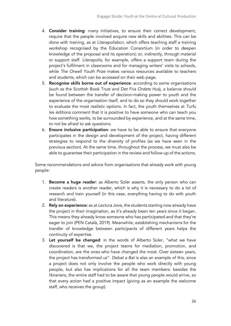- 4. Consider training: many initiatives, to ensure their correct development, require that the people involved acquire new skills and abilities. This can be done with training, as at *Literapolisbcn*, which offers teaching staff a training workshop recognised by the Education Consortium (in order to deepen knowledge of the proposal and its operation); or, indirectly, through material or support staff. *Literapolis*, for example, offers a support team during the project's fulfilment in classrooms and for managing writers' visits to schools, while *The Orwell Youth Prize* makes various resources available to teachers and students, which can be accessed on their web page.
- 5. Recognise skills borne out of experience: according to some organisations (such as the Scottish Book Trust and *Det Fria Ordets Hus*), a balance should be found between the transfer of decision-making power to youth and the experience of the organisation itself, and to do so they should work together to evaluate the most realistic options. In fact, the youth themselves at *Turfu les éditions* comment that it is positive to have someone who can teach you how something works, to be surrounded by experience, and at the same time, to not be afraid to ask questions.
- 6. Ensure inclusive participation: we have to be able to ensure that everyone participates in the design and development of the project, having different strategies to respond to the diversity of profiles (as we have seen in the previous section). At the same time, throughout the process, we must also be able to guarantee their participation in the review and follow-up of the actions.

Some recommendations and advice from organisations that already work with young people:

- 1. **Become a huge reader**: as Alberto Soler asserts, the only person who can create readers is another reader, which is why it is necessary to do a lot of research and train yourself (in this case, everything having to do with youth and literature).
- 2. Rely on experience: as at *Lectura Jove*, the students starting now already have the project in their imagination, as it's already been ten years since it began. This means they already know someone who has participated and that they're eager to join (PEN Català, 2019). Meanwhile, establishing mechanisms for the transfer of knowledge between participants of different years helps the continuity of expertise.
- 3. Let yourself be changed: in the words of Alberto Soler, "what we have discovered is that we, the project teams for mediation, promotion, and coordination, are the ones who have changed the most. Over sixteen years, the project has transformed us". *Debat a Bat* is also an example of this, since a project does not only involve the people who work directly with young people, but also has implications for all the team members: besides the librarians, the entire staff had to be aware that young people would arrive, so that every action had a positive impact (giving as an example the welcome staff, who receives the group).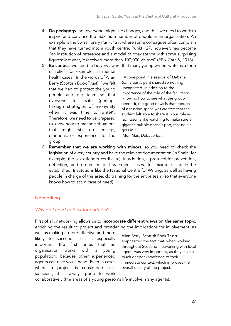- 4. Do pedagogy: not everyone might like changes, and thus we need to work to inspire and convince the maximum number of people in an organisation. An example is the Swiss library Punkt 127, where some colleagues often complain that they have turned into a youth centre. Punkt 127, however, has become "an institution of reference and a model of coexistence with some surprising figures: last year, it received more than 100,000 visitors" (PEN Català, 2018).
- 5. Be curious: we need to be very aware that many young writers write as a form of relief (for example, in mental health cases). In the words of Allan Berry (Scottish Book Trust), "we felt that we had to protect the young people and our team so that everyone felt safe (perhaps through strategies of anonymity when it was time to write)". Therefore, we need to be prepared to know how to manage situations that might stir up feelings, emotions, or experiences for the group.

"At one point in a session of *Debat a Bat*, a participant shared something unexpected. In addition to the importance of the role of the facilitator (knowing how to see what the group needed), the good news is that enough of a trusting space was created that the student felt able to share it. Your role as facilitator is like watching to make sure a gigantic bubble doesn't pop, that no air gets in."

(Mon Mas, *Debat a Bat*)

6. Remember that we are working with minors, so you need to check the legislation of every country and have the relevent documentation (in Spain, for example, the sex offender certificate). In addition, a protocol for prevention, detection, and protection in harassment cases, for example, should be established. Institutions like the National Centre for Writing, as well as having people in charge of this area, do training for the entire team (so that everyone knows how to act in case of need).

## **Networking**

## *Why do I need to look for partners?*

First of all, networking allows us to incorporate different views on the same topic, enriching the resulting project and broadening the implications for involvement, as

well as making it more effective and more likely to succeed. This is especially important the first times that an organisation works with a young population, because other experienced agents can give you a hand. Even in cases where a project is considered selfsufficient, it is always good to work

Allan Berry (Scottish Book Trust) emphasized the fact that, when working throughout Scotland, networking with local agents was very important, as they have a much deeper knowledge of their immediate context, which improves the overall quality of the project.

collaboratively (the areas of a young person's life involve many agents).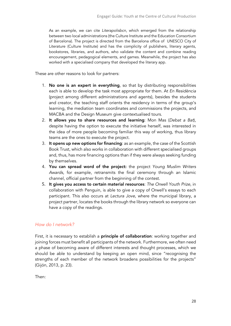As an example, we can cite *Literapolisbcn*, which emerged from the relationship between two local administrations (the Culture Institute and the Education Consortium of Barcelona). The project is directed from the Barcelona office of UNESCO City of Literature (Culture Institute) and has the complicity of publishers, literary agents, bookstores, libraries, and authors, who validate the content and combine reading encouragement, pedagogical elements, and games. Meanwhile, the project has also worked with a specialised company that developed the literary app.

These are other reasons to look for partners:

- 1. No one is an expert in everything, so that by distributing responsibilities each is able to develop the task most appropriate for them. At *En Residència* (project among different administrations and agents), besides the students and creator, the teaching staff orients the residency in terms of the group's learning, the mediation team coordinates and commissions the projects, and MACBA and the Design Museum give contextualised tours.
- 2. It allows you to share resources and learning: Mon Mas (*Debat a Bat*), despite having the option to execute the initiative herself, was interested in the idea of more people becoming familiar this way of working, thus library teams are the ones to execute the project.
- 3. It opens up new options for financing: as an example, the case of the Scottish Book Trust, which also works in collaboration with different specialised groups and, thus, has more financing options than if they were always seeking funding by themselves.
- 4. You can spread word of the project: the project *Young Muslim Writers Awards*, for example, retransmits the final ceremony through an Islamic channel, official partner from the beginning of the contest.
- 5. It gives you access to certain material resources: *The Orwell Youth Prize*, in collaboration with Penguin, is able to give a copy of Orwell's essays to each participant. This also occurs at *Lectura Jove*, where the municipal library, a project partner, locates the books through the library network so everyone can have a copy of the readings.

## *How do I network?*

First, it is necessary to establish a **principle of collaboration**: working together and joining forces must benefit all participants of the network. Furthermore, we often need a phase of becoming aware of different interests and thought processes, which we should be able to understand by keeping an open mind, since "recognising the strengths of each member of the network broadens possibilities for the projects" (Gijón, 2013, p. 23).

Then: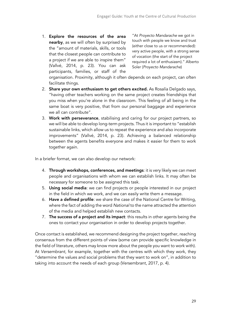1. Explore the resources of the area nearby, as we will often by surprised by the "amount of materials, skills, or tools that the closest people can contribute to a project if we are able to inspire them" (Vallvé, 2014, p. 23). You can ask participants, families, or staff of the

"At *Proyecto Mandarache* we got in touch with people we know and trust (either close to us or recommended): very active people, with a strong sense of vocation (the start of the project required a lot of enthusiasm)." Alberto Soler (*Proyecto Mandarache*)

organisation. Proximity, although it often depends on each project, can often facilitate things.

- 2. Share your own enthusiasm to get others excited. As Rosalía Delgado says, "having other teachers working on the same project creates friendships that you miss when you're alone in the classroom. This feeling of all being in the same boat is very positive, that from our personal baggage and experience we all can contribute".
- 3. Work with perseverance, stabilising and caring for our project partners, so we will be able to develop long-term projects. Thus it is important to "establish sustainable links, which allow us to repeat the experience and also incorporate improvements" (Vallvé, 2014, p. 23). Achieving a balanced relationship between the agents benefits everyone and makes it easier for them to work together again.

In a briefer format, we can also develop our network:

- 4. Through workshops, conferences, and meetings: it is very likely we can meet people and organisations with whom we can establish links. It may often be necessary for someone to be assigned this task.
- 5. Using social media: we can find projects or people interested in our project in the field in which we work, and we can easily write them a message.
- 6. Have a defined profile: we share the case of the National Centre for Writing, where the fact of adding the word *National* to the name attracted the attention of the media and helped establish new contacts*.*
- 7. The success of a project and its impact: this results in other agents being the ones to contact your organisation in order to develop projects together.

Once contact is established, we recommend designing the project together, reaching consensus from the different points of view (some can provide specific knowledge in the field of literature, others may know more about the people you want to work with). At *Versembrant*, for example, together with the centres with which they work, they "determine the values and social problems that they want to work on", in addition to taking into account the needs of each group (Versembrant, 2017, p. 4).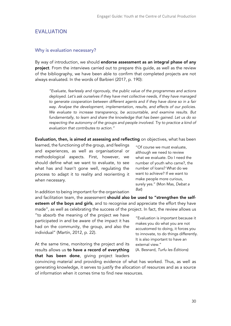## EVALUATION

#### Why is evaluation necessary?

By way of introduction, we should endorse assessment as an integral phase of any project. From the interviews carried out to prepare this quide, as well as the review of the bibliography, we have been able to confirm that completed projects are not always evaluated. In the words of Barbieri (2017, p. 190):

*"Evaluate, fearlessly and rigorously, the public value of the programmes and actions deployed. Let's ask ourselves if they have met collective needs, if they have managed to generate cooperation between different agents and if they have done so in a fair way. Analyse the development, implementation, results, and effects of our policies. We evaluate to increase transparency, be accountable, and examine results. But fundamentally, to learn and share the knowledge that has been gained. Let us do so*  respecting the autonomy of the groups and people involved. Try to practice a kind of *evaluation that contributes to action."* 

Evaluation, then, is aimed at assessing and reflecting on objectives, what has been

learned, the functioning of the group, and feelings and experiences, as well as organisational or methodological aspects. First, however, we should define what we want to evaluate, to see what has and hasn't gone well, regulating the process to adapt it to reality and reorienting it when necessary.

"Of course we must evaluate, although we need to review what we evaluate. Do I need the number of youth who came?, the number of loans? What do we want to achieve? If we want to make people more curious, surely yes." (Mon Mas, *Debat a Bat*)

In addition to being important for the organisation

and facilitation team, the assessment should also be used to "strengthen the selfesteem of the boys and girls, and to recognise and appreciate the effort they have made", as well as celebrating the success of the project. In fact, the review allows us

"to absorb the meaning of the project we have participated in and be aware of the impact it has had on the community, the group, and also the individual" (Martín, 2012, p. 22).

At the same time, monitoring the project and its results allows us to have a record of everything that has been done, giving project leaders

"Evaluation is important because it makes you do what you are not accustomed to doing, it forces you to innovate, to do things differently. It is also important to have an external view."

(A. Besnard, *Turfu les Éditions*)

convincing material and providing evidence of what has worked. Thus, as well as generating knowledge, it serves to justify the allocation of resources and as a source of information when it comes time to find new resources.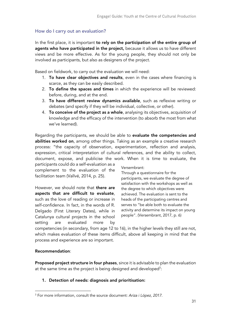## How do I carry out an evaluation?

In the first place, it is important to rely on the participation of the entire group of agents who have participated in the project, because it allows us to have different views and be more effective. As for the young people, they should not only be involved as participants, but also as designers of the project.

Based on fieldwork, to carry out the evaluation we will need:

- 1. To have clear objectives and results, even in the cases where financing is scarce, as they can be easily described.
- 2. To define the spaces and times in which the experience will be reviewed: before, during, and at the end.
- 3. To have different review dynamics available, such as reflexive writing or debates (and specify if they will be individual, collective, or other).
- 4. To conceive of the project as a whole, analysing its objectives, acquisition of knowledge and the efficacy of the intervention (to absorb the most from what we've learned).

Regarding the participants, we should be able to evaluate the competencies and abilities worked on, among other things. Taking as an example a creative research process: "the capacity of observation, experimentation, reflection and analysis, expression, critical interpretation of cultural references, and the ability to collect, document, expose, and publicise the work. When it is time to evaluate, the

participants could do a self-evaluation as a complement to the evaluation of the facilitation team (Vallvé, 2014, p. 25).

However, we should note that **there are** aspects that are difficult to evaluate, such as the love of reading or increase in self-confidence. In fact, in the words of R. Delgado (First Literary Dates), while in Catalunya cultural projects in the school setting are evaluated more by

Versembrant:

Through a questionnaire for the participants, we evaluate the degree of satisfaction with the workshops as well as the degree to which objectives were achieved. The evaluation is sent to the heads of the participating centres and serves to "be able both to evaluate the activity and determine its impact on young people". (Versembrant, 2017, p. 6)

competencies (in secondary, from age 12 to 16), in the higher levels they still are not, which makes evaluation of these items difficult, above all keeping in mind that the process and experience are so important.

## Recommendation:

Proposed project structure in four phases, since it is advisable to plan the evaluation at the same time as the project is being designed and developed $^3$ :

## 1. Detection of needs: diagnosis and prioritisation:

<sup>3</sup> For more information, consult the source document: *Ariza i López, 2017*.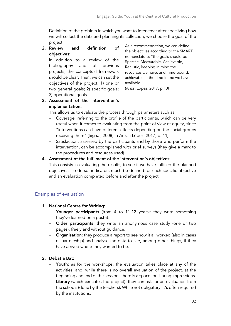Definition of the problem in which you want to intervene: after specifying how we will collect the data and planning its collection, we choose the goal of the project.

2. Review and definition of objectives:

In addition to a review of the bibliography and of previous projects, the conceptual framework should be clear. Then, we can set the objectives of the project: 1) one or two general goals; 2) specific goals; 3) operational goals.

As a recommendation, we can define the objectives according to the SMART nomenclature: "the goals should be Specific, Measurable, Achievable, Realistic, keeping in mind the resources we have, and Time-bound, achievable in the time frame we have available."

(Ariza, López, 2017, p.10)

## 3. Assessment of the intervention's implementation:

This allows us to evaluate the process through parameters such as:

- Coverage: referring to the profile of the participants, which can be very useful when it comes to evaluating from the point of view of equity, since "interventions can have different effects depending on the social groups receiving them" (Signal, 2008, in Ariza i López, 2017, p. 11).
- Satisfaction: assessed by the participants and by those who perform the intervention, can be accomplished with brief surveys (they give a mark to the procedures and resources used).

## 4. Assessment of the fulfilment of the intervention's objectives:

This consists in evaluating the results, to see if we have fulfilled the planned objectives. To do so, indicators much be defined for each specific objective and an evaluation completed before and after the project.

## Examples of evaluation

## 1. National Centre for Writing:

- Younger participants (from 4 to 11-12 years): they write something they've learned on a post-it.
- Older participants: they write an anonymous case study (one or two pages), freely and without guidance.
- Organisation: they produce a report to see how it all worked (also in cases of partnership) and analyse the data to see, among other things, if they have arrived where they wanted to be.

## 2. Debat a Bat:

- Youth: as for the workshops, the evaluation takes place at any of the activities; and, while there is no overall evaluation of the project, at the beginning and end of the sessions there is a space for sharing impressions.
- Library (which executes the project): they can ask for an evaluation from the schools (done by the teachers). While not obligatory, it's often required by the institutions.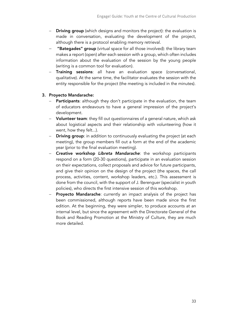- Driving group (which designs and monitors the project): the evaluation is made in conversation, evaluating the development of the project, although there is a protocol enabling memory retrieval.
- "Bategades" group (virtual space for all those involved): the library team makes a report (open) after each session with a group, which often includes information about the evaluation of the session by the young people (writing is a common tool for evaluation).
- Training sessions: all have an evaluation space (conversational, qualitative). At the same time, the facilitator evaluates the session with the entity responsible for the project (the meeting is included in the minutes).

## 3. Proyecto Mandarache:

- Participants: although they don't participate in the evaluation, the team of educators endeavours to have a general impression of the project's development.
- Volunteer team: they fill out questionnaires of a general nature, which ask about logistical aspects and their relationship with volunteering (how it went, how they felt...).
- Driving group: in addition to continuously evaluating the project (at each meeting), the group members fill out a form at the end of the academic year (prior to the final evaluation meeting).
- Creative workshop *Libreta Mandarache*: the workshop participants respond on a form (20-30 questions), participate in an evaluation session on their expectations, collect proposals and advice for future participants, and give their opinion on the design of the project (the spaces, the call process, activities, content, workshop leaders, etc.). This assessment is done from the council, with the support of J. Berenguer (specialist in youth policies), who directs the first intensive session of this workshop.
- Proyecto Mandarache: currently an impact analysis of the project has been commissioned, although reports have been made since the first edition. At the beginning, they were simpler, to produce accounts at an internal level, but since the agreement with the Directorate General of the Book and Reading Promotion at the Ministry of Culture, they are much more detailed.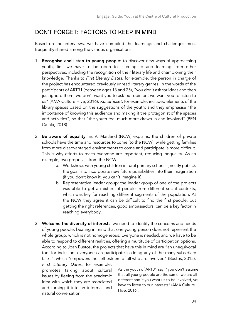## DON'T FORGET: FACTORS TO KEEP IN MIND

Based on the interviews, we have compiled the learnings and challenges most frequently shared among the various organisations:

- 1. Recognise and listen to young people: to discover new ways of approaching youth, first we have to be open to listening to and learning from other perspectives, including the recognition of their literary life and championing their knowledge. Thanks to *First Literary Dates*, for example, the person in charge of the project has encountered previously unread literary genres. In the words of the participants of ART31 (between ages 13 and 25), "you don't ask for ideas and then just ignore them; we don't want you to ask our opinion, we want you to listen to us" (AMA Culture Hive, 2016). *Kulturhuset*, for example, included elements of the library spaces based on the suggestions of the youth; and they emphasise "the importance of knowing this audience and making it the protagonist of the spaces and activities", so that "the youth feel much more drawn in and involved" (PEN Català, 2018).
- 2. Be aware of equality: as V. Maitland (NCW) explains, the children of private schools have the time and resources to come (to the NCW), while getting families from more disadvantaged environments to come and participate is more difficult. This is why efforts to reach everyone are important, reducing inequality. As an example, two proposals from the NCW:
	- a. Workshops with young children in rural primary schools (mostly public): the goal is to incorporate new future possibilities into their imagination (if you don't know it, you can't imagine it).
	- b. Representative leader group: the leader group of one of the projects was able to get a mixture of people from different social contexts, which was key for reaching different segments of the population. At the NCW they agree it can be difficult to find the first people, but getting the right references, good ambassadors, can be a key factor in reaching everybody.
- 3. Welcome the diversity of interests: we need to identify the concerns and needs of young people, bearing in mind that one young person does not represent the whole group, which is not homogeneous. Everyone is needed, and we have to be able to respond to different realities, offering a multitude of participation options. According to Joan Bustos, the projects that have this in mind are "an unequivocal tool for inclusion: everyone can participate in doing any of the many subsidiary tasks", which "empowers the self-esteem of all who are involved" (Bustos, 2015).

*First Literary Dates*, for example, promotes talking about cultural issues by fleeing from the academic idea with which they are associated and turning it into an informal and natural conversation.

As the youth of ART31 say, "you don't assume that all young people are the same: we are all different and if you want us to be involved, you have to listen to our interests" (AMA Culture Hive, 2016).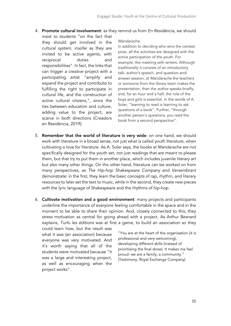- 4. Promote cultural involvement: as they remind us from *En Residència*, we should
	- insist to students "on the fact that they should get involved in the cultural system, insofar as they are invited to be active agents, with reciprocal duties and responsibilities". In fact, the links that can trigger a creative project with a participating artist "amplify and expand the project and contribute to fulfilling the right to participate in cultural life, and the construction of active cultural citizens,", since the ties between education and culture, adding value to the project, are scarce in both directions (Creadors en Residència, 2019).

#### *Mandarache*:

In addition to deciding who wins the contest prize, all the activities are designed with the active participation of the youth. For example, the meeting with writers. Although traditionally it consists of an introductory talk, author's speech, and question-andanswer session, at *Mandarache* the teachers or someone from the library team makes the presentation, then the author speaks briefly, and, for an hour and a half, the role of the boys and girls is essential. In the words of A. Soler, "learning to read is learning to ask questions of a book". Further, "through another person's questions, you read the book from a second perspective".

- 5. Remember that the world of literature is very wide: on one hand, we should work with literature in a broad sense, not just what is called youth literature, when cultivating a love for literature. As A. Soler says, the books at *Mandarache* are not specifically designed for the youth set, not just readings that are meant to please them, but that try to put them in another place, which includes juvenile literary art but also many other things. On the other hand, literature can be worked on from many perspectives, as *The Hip-hop Shakespeare Company* and *Versembrant*  demonstrate: in the first, they learn the basic concepts of rap, rhythm, and literary resources to later set the text to music, while in the second, they create new pieces with the lyric language of Shakespeare and the rhythms of hip-hop.
- 6. Cultivate motivation and a good environment: many projects and participants underline the importance of everyone feeling comfortable in the space and in the moment to be able to share their opinion. And, closely connected to this, they stress motivation as central for going ahead with a project. As Arthur Besnard explains, *Turfu les éditions* was at first a game, to build an association so they could learn how, but the result was

what it was (an association) because everyone was very motivated. And it's worth saying that all of the students were motivated because "it was a large and interesting project, as well as encouraging when the project works".

"You are at the heart of the organisation (it is professional and very welcoming), developing different skills (instead of prioritising the final show). It makes me feel proud: we are a family, a community." (Testimony, Royal Exchange Company)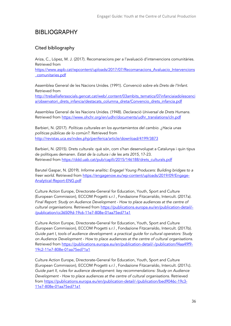# BIBLIOGRAPHY

## Cited bibliography

Ariza, C., López, M. J. (2017). Recomanacions per a l'avaluació d'intervencions comunitàries. Retrieved from

https://www.aspb.cat/wpcontent/uploads/2017/07/Recomanacions\_Avaluacio\_Intervencions \_comunitaries.pdf

Assemblea General de les Nacions Unides. (1991). *Convenció sobre els Drets de l'Infant*. Retrieved from

http://treballiaferssocials.gencat.cat/web/.content/03ambits\_tematics/07infanciaiadolescenci a/observatori\_drets\_infancia/destacats\_columna\_dreta/Convencio\_drets\_infancia.pdf

Assemblea General de les Nacions Unides. (1948). *Declaració Universal de Drets Humans*. Retrieved from https://www.ohchr.org/en/udhr/documents/udhr\_translations/cln.pdf

Barbieri, N. (2017). *Políticas culturales en los ayuntamientos del cambio. ¿Hacia unas políticas públicas de lo común?*. Retrieved from http://revistas.uca.es/index.php/periferica/article/download/4199/3873

Barbieri, N. (2015). Drets culturals: què són, com s'han desenvolupat a Catalunya i quin tipus de polítiques demanen. *Estat de la cultura i de les arts 2015*, 17-23. Retrieved from https://ddd.uab.cat/pub/caplli/2015/146188/drets\_culturals.pdf

Barutel Gaspar, N. (2019). *Informe analític: Engage! Young Producers: Building bridges to a freer world*. Retrieved from https://engagenow.eu/wp-content/uploads/2019/09/Engage-Analytical-Report-ENG.pdf

Culture Action Europe, Directorate-General for Education, Youth, Sport and Culture (European Commission), ECCOM Progetti s.r.l , Fondazione Fitzcarraldo, Intercult. (2017a). *Final Report: Study on Audience Development - How to place audiences at the centre of cultural organisations.* Retrieved from https://publications.europa.eu/en/publication-detail/- /publication/cc36509d-19c6-11e7-808e-01aa75ed71a1

Culture Action Europe, Directorate-General for Education, Youth, Sport and Culture (European Commission), ECCOM Progetti s.r.l , Fondazione Fitzcarraldo, Intercult. (2017b). *Guide part I, tools of audience development: a practical guide for cultural operators: Study on Audience Development - How to place audiences at the centre of cultural organisations.*  Retrieved from https://publications.europa.eu/en/publication-detail/-/publication/f4aa49f9- 19c2-11e7-808e-01aa75ed71a1

Culture Action Europe, Directorate-General for Education, Youth, Sport and Culture (European Commission), ECCOM Progetti s.r.l , Fondazione Fitzcarraldo, Intercult. (2017c). *Guide part II, rules for audience development: key recommendations: Study on Audience Development - How to place audiences at the centre of cultural organisations.* Retrieved from https://publications.europa.eu/en/publication-detail/-/publication/bed9046c-19c3- 11e7-808e-01aa75ed71a1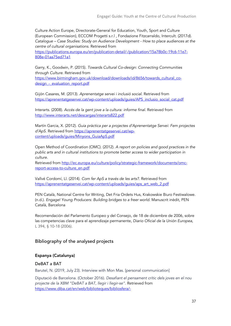Culture Action Europe, Directorate-General for Education, Youth, Sport and Culture (European Commission), ECCOM Progetti s.r.l , Fondazione Fitzcarraldo, Intercult. (2017d). *Catalogue – Case Studies: Study on Audience Development - How to place audiences at the centre of cultural organisations.* Retrieved from

https://publications.europa.eu/en/publication-detail/-/publication/15a78b0c-19c6-11e7- 808e-01aa75ed71a1

Garry, K., Goodwin, P. (2015). *Towards Cultural Co-design: Connecting Communities through Culture*. Retrieved from

https://www.birmingham.gov.uk/download/downloads/id/8656/towards\_cultural\_codesign - evaluation report.pdf

Gijón Casares, M. (2013). *Aprenentatge servei i inclusió social*. Retrieved from https://aprenentatgeservei.cat/wp-content/uploads/guies/APS\_inclusio\_social\_cat.pdf

Interarts. (2008). *Accés de la gent jove a la cultura: informe final*. Retrieved from http://www.interarts.net/descargas/interarts822.pdf

Martín Garcia, X. (2012). *Guia pràctica per a projectes d'Aprenentatge Servei: Fem projectes d'ApS*. Retrieved from https://aprenentatgeservei.cat/wpcontent/uploads/guies/Minyons\_GuiaApS.pdf

Open Method of Coordination (OMC). (2012). *A report on policies and good practices in the public arts and in cultural institutions to promote better access to wider participation in culture*.

Retrieved from http://ec.europa.eu/culture/policy/strategic-framework/documents/omcreport-access-to-culture\_en.pdf

Vallvé Cordomí, Ll. (2014). *Com fer ApS a través de les arts?.* Retrieved from https://aprenentatgeservei.cat/wp-content/uploads/guies/aps\_art\_web\_2.pdf

PEN Català, National Centre for Writing, Det Fria Ordets Hus, Krakowskie Biuro Festiwalowe. (n.d.). *Engage! Young Producers: Building bridges to a freer world*. Manuscrit inèdit, PEN Català, Barcelona

Recomendación del Parlamento Europeo y del Consejo, de 18 de diciembre de 2006, sobre las competencias clave para el aprendizaje permanente, *Diario Oficial de la Unión Europea*, L 394, § 10-18 (2006).

## Bibliography of the analysed projects

#### Espanya (Catalunya)

#### DeBAT a BAT

Barutel, N. (2019, July 23). Interview with Mon Mas. [personal communication]

Diputació de Barcelona. (October 2016). *Desafiant el pensament crític dels joves en el nou projecte de la XBM "DeBAT a BAT, llegir i llegir-se"*. Retrieved from https://www.diba.cat/en/web/biblioteques/bibliosfera/-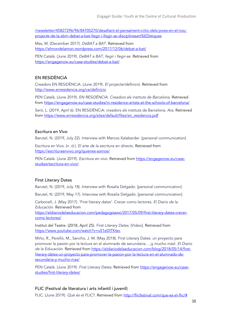/newsletter/45827296/96/84705270/desafiant-el-pensament-critic-dels-joves-en-el-nouprojecte-de-la-xbm-debat-a-bat-llegir-i-llegir-se-disciplinesart%EDstiques

Mas, M. (December 2017). *DeBAT a BAT*. Retrieved from https://elmondelamon.wordpress.com/2017/12/06/debat-a-bat/

PEN Català. (June 2019). *DeBAT a BAT, llegir i llegir-se*. Retrieved from https://engagenow.eu/case-studies/debat-a-bat/

#### EN RESiDÈNCiA

Creadors EN RESiDÈNCiA. (June 2019). *El projecte/definició*. Retrieved from http://www.enresidencia.org/ca/definicio

PEN Català. (June 2019). *EN RESiDÈNCIA. Creadors als instituts de Barcelona*. Retrieved from https://engagenow.eu/case-studies/in-residence-artists-at-the-schools-of-barcelona/

Seró, L. (2019, April 6). EN RESiDÈNCiA: creadors als instituts de Barcelona. *Ara*. Retrieved from https://www.enresidencia.org/sites/default/files/en\_residencia.pdf

#### Escritura en Vivo

Barutel, N. (2019, July 22). Interview with Marcos Xalabarder. [personal communication]

Escritura en Vivo. (n. d.). *El arte de la escritura en directo*. Retrieved from https://escrituraenvivo.org/quienes-somos/

PEN Català. (June 2019). *Escritura en vivo*. Retrieved from https://engagenow.eu/casestudies/escritura-en-vivo/

#### First Literary Dates

Barutel, N. (2019, July 18). Interview with Rosalía Delgado. [personal communication]

Barutel, N. (2019, May 17). Interview with Rosalía Delgado. [personal communication]

Carbonell, J. (May 2017). 'First literary dates'. Crecer como lectores. *El Diario de la Educación*. Retrieved from

https://eldiariodelaeducacion.com/pedagogiasxxi/2017/05/09/first-literary-dates-crecercomo-lectores/

Institut del Teatre. (2018, April 25). *First Literary Dates.* [Video]. Retrieved from https://www.youtube.com/watch?v=uS1eDlTKtec

Miño, R., Perelló, M., Sancho, J. M. (May 2018). First Literary Dates: un proyecto para promover la pasión por la lectura en el alumnado de secundaria… ¡y mucho más!. *El Diario de la Educación*. Retrieved from https://eldiariodelaeducacion.com/blog/2018/05/14/firstliterary-dates-un-proyecto-para-promover-la-pasion-por-la-lectura-en-el-alumnado-desecundaria-y-mucho-mas/

PEN Català. (June 2019). *First Literary Dates*. Retrieved from https://engagenow.eu/casestudies/first-literary-dates/

#### FLIC (Festival de literatura i arts infantil i juvenil)

FLIC. (June 2019). *Què és el FLIC?*. Retrieved from http://flicfestival.com/que-es-el-flic/#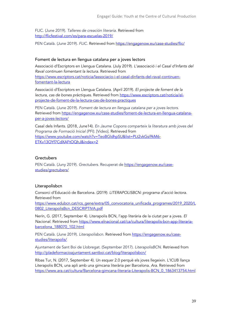FLIC. (June 2019). *Talleres de creación literaria*. Retrieved from http://flicfestival.com/es/para-escuelas-2019/

PEN Català. (June 2019). *FLIC*. Retrieved from https://engagenow.eu/case-studies/flic/

#### Foment de lectura en llengua catalana per a joves lectors

Associació d'Escriptors en Llengua Catalana. (July 2019). *L'associació i el Casal d'Infants del Raval continuen fomentant la lectura.* Retrieved from https://www.escriptors.cat/noticia/lassociacio-i-el-casal-dinfants-del-raval-continuenfomentant-la-lectura

Associació d'Escriptors en Llengua Catalana. (April 2019). *El projecte de foment de la lectura, cas de bones pràctiques.* Retrieved from https://www.escriptors.cat/noticia/elprojecte-de-foment-de-la-lectura-cas-de-bones-practiques

PEN Català. (June 2019). *Foment de lectura en llengua catalana per a joves lectors*. Retrieved from https://engagenow.eu/case-studies/foment-de-lectura-en-llengua-catalanaper-a-joves-lectors/

Casal dels Infants. (2018, June14). *En Jaume Copons comparteix la literatura amb joves del Programa de Formació Inicial (PFI).* [Video]. Retrieved from https://www.youtube.com/watch?v=TeoBGldhpSU&list=PLt2vkGsi9kM6- ETKv13OYf7CdXAFtOQhJ&index=2

#### **Grectubers**

PEN Català. (Juny 2019). *Grectubers*. Recuperat de **https://engagenow.eu/case**studies/grectubers/

## Literapolisbcn

Consorci d'Educació de Barcelona. (2019): *LITERAPOLISBCN: programa d'acció lectora*. Retrieved from

https://www.edubcn.cat/rcs\_gene/extra/05\_convocatoria\_unificada\_programes/2019\_2020/L 0802 LiterapolisBcn DESCRIPTIVA.pdf

Nerín, G. (2017, September 4). Literapolis BCN, l'app literària de la ciutat per a joves. *El Nacional*. Retrieved from https://www.elnacional.cat/ca/cultura/literapolis-bcn-app-literariabarcelona\_188070\_102.html

PEN Català. (June 2019). *Literapolisbcn*. Retrieved from https://engagenow.eu/casestudies/literapolis/

Ajuntament de Sant Boi de Llobregat. (September 2017). *LiterapolisBCN*. Retrieved from http://pladeformacioajuntament.santboi.cat/blog/literapolisbcn/

Ribas Tur, N. (2017, September 4). Un esquer 2.0 perquè els joves llegeixin. L'ICUB llança Literapolis BCN, una apli amb una gimcana literària per Barcelona. *Ara*. Retrieved from https://www.ara.cat/cultura/Barcelona-gimcana-literaria-Literapolis-BCN\_0\_1863413754.html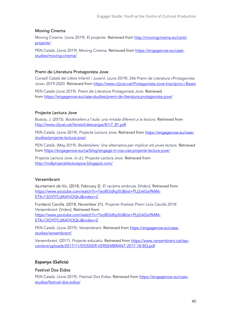#### Moving Cinema

Moving Cinema. (June 2019). El projecte. Retrieved from http://movingcinema.eu/ca/elprojecte/

PEN Català. (June 2019). Moving Cinema. Retrieved from https://engagenow.eu/casestudies/moving-cinema/

#### Premi de Literatura Protagonista Jove

Consell Català del Llibre Infantil i Juvenil. (June 2019). 24è Premi de Literatura «Protagonista Jove» 2019-2020. Retrieved from https://www.clijcat.cat/Protagonista-Jove-Inscripcio-i-Bases

PEN Català (June 2019). *Premi de Literatura Protagonista Jove*. Retrieved from https://engagenow.eu/case-studies/premi-de-literatura-protagonista-jove/

#### Projecte Lectura Jove

Bustos, J. (2015). *Booktrailers a l'aula: una mirada diferent a la lectura*. Retrieved from http://www.clijcat.cat/faristol/descargas/81/7\_81.pdf

PEN Català. (June 2019). *Projecte Lectura Jove*. Retrieved from https://engagenow.eu/casestudies/projecte-lectura-jove/

PEN Català. (May 2019). *Booktrailers: Una alternativa per implicar els joves lectors*. Retrieved from https://engagenow.eu/ca/blog/engage-in-nou-cas-projecte-lectura-jove/

Projecte Lectura Jove. (n.d.). Projecte Lectura Jove. Retrieved from http://mdlprojectelecturajove.blogspot.com/

#### Versembrant

Ajuntament de Vic. (2018, February 2). *El racisme embruta.* [Video]. Retrieved from https://www.youtube.com/watch?v=TeoBGldhpSU&list=PLt2vkGsi9kM6- ETKv13OYf7CdXAFtOQhJ&index=2

Fundació Carulla. (2018, November 21). *Projecte finalista Premi Lluís Carulla 2018: Versembrant.* [Video]. Retrieved from https://www.youtube.com/watch?v=TeoBGldhpSU&list=PLt2vkGsi9kM6- ETKv13OYf7CdXAFtOQhJ&index=2

PEN Català. (June 2019). *Versembrant*. Retrieved from https://engagenow.eu/casestudies/versembrant/

Versembrant. (2017). *Projecte educatiu*. Retrieved from https://www.versembrant.cat/wpcontent/uploads/2017/11/DOSSIER-VERSEMBRANT-2017-18-BQ.pdf

#### Espanya (Galicia)

#### Festival Dos Eidos

PEN Català. (June 2019). *Festival Dos Eidos*. Retrieved from https://engagenow.eu/casestudies/festival-dos-eidos/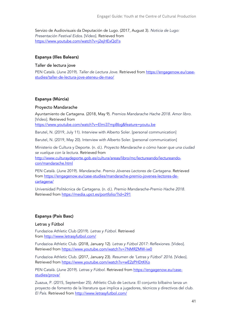Servizo de Audiovisuais da Deputación de Lugo. (2017, August 3). *Noticia de Lugo: Presentación Festival Eidos.* [Vídeo]. Retrieved from https://www.youtube.com/watch?v=j2ejHExQd1s

#### Espanya (Illes Balears)

#### Taller de lectura jove

PEN Català. (June 2019). *Taller de Lectura Jove*. Retrieved from https://engagenow.eu/casestudies/taller-de-lectura-jove-ateneu-de-mao/

#### Espanya (Múrcia)

#### Proyecto Mandarache

Ayuntamiento de Cartagena. (2018, May 9). *Premios Mandarache Hache 2018. Amor libro.* [Video]. Retrieved from

https://www.youtube.com/watch?v=Elmi37mpBbg&feature=youtu.be

Barutel, N. (2019, July 11). Interview with Alberto Soler. [personal communication]

Barutel, N. (2019, May 20). Interview with Alberto Soler. [personal communication]

Ministerio de Cultura y Deporte. (n. d.). *Proyecto Mandarache o cómo hacer que una ciudad se vuelque con la lectura*. Retrieved from http://www.culturaydeporte.gob.es/cultura/areas/libro/mc/lectureando/lectureandocon/mandarache.html

PEN Català. (June 2019). *Mandarache. Premio Jóvenes Lectores de Cartagena*. Retrieved from https://engagenow.eu/case-studies/mandarache-premio-jovenes-lectores-decartagena/

Universidad Politécnica de Cartagena. (n. d.). *Premio Mandarache-Premio Hache 2018*. Retrieved from https://media.upct.es/portfolio/?id=291

#### Espanya (País Basc)

#### Letras y Fútbol

Fundazioa Athletic Club (2019). *Letras y Fútbol*. Retrieved from http://www.letrasyfutbol.com/

Fundazioa Athletic Club. (2018, January 12). *Letras y Fútbol 2017: Reflexiones.* [Video]. Retrieved from https://www.youtube.com/watch?v=7NMRZMW-iw0

Fundazioa Athletic Club. (2017, January 23). *Resumen de 'Letras y Fútbol' 2016.* [Video]. Retrieved from https://www.youtube.com/watch?v=wE2zPHDtKKo

PEN Català. (June 2019). *Letras y Fútbol*. Retrieved from https://engagenow.eu/casestudies/prova/

Zuazua, P. (2015, September 25). Athletic Club de Lectura: El conjunto bilbaíno lanza un proyecto de fomento de la literatura que implica a jugadores, técnicos y directivos del club. *El País*. Retrieved from http://www.letrasyfutbol.com/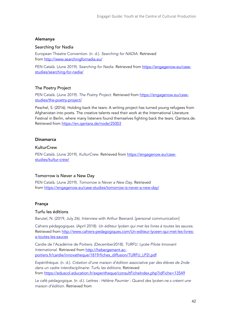#### Alemanya

#### Searching for Nadia

European Theatre Convention. (n. d.). *Searching for NADIA*. Retrieved from http://www.searchingfornadia.eu/

PEN Català. (June 2019). *Searching for Nadia*. Retrieved from https://engagenow.eu/casestudies/searching-for-nadia/

#### The Poetry Project

PEN Català. (June 2019). *The Poetry Project*. Retrieved from https://engagenow.eu/casestudies/the-poetry-project/

Peschel, S. (2016). Holding back the tears: A writing project has turned young refugees from Afghanistan into poets. The creative talents read their work at the International Literature Festival in Berlin, where many listeners found themselves fighting back the tears. Qantara.de. Retrieved from https://en.qantara.de/node/25003

#### Dinamarca

#### **KulturCrew**

PEN Català. (June 2019). *KulturCrew*. Retrieved from https://engagenow.eu/casestudies/kultur-crew/

#### Tomorrow is Never a New Day

PEN Català. (June 2019). *Tomorrow is Never a New Day*. Retrieved from https://engagenow.eu/case-studies/tomorrow-is-never-a-new-day/

#### França

#### Turfu les éditions

Barutel, N. (2019, July 26). Interview with Arthur Besnard. [personal communication]

Cahiers pédagogiques. (April 2018). *Un éditeur lycéen qui met les livres à toutes les sauces*. Retrieved from http://www.cahiers-pedagogiques.com/Un-editeur-lyceen-qui-met-les-livresa-toutes-les-sauces

Cardie de l'Académie de Poitiers. (December2018). *TURFU: Lycée Pilote Innovant International*. Retrieved from http://hebergement.acpoitiers.fr/cardie/innovatheque/1819/fiches\_diffusion/TURFU\_LP2I.pdf

Expérithèque. (n. d.). *Création d'une maison d'édition associative par des élèves de 2nde dans un cadre interdisciplinaire: Turfu les éditions*. Retrieved from https://eduscol.education.fr/experitheque/consultFicheIndex.php?idFiche=13549

Le café pédagogique. (n. d.). *Lettres : Hélène Paumier : Quand des lycéen.ne.s créent une maison d'édition*. Retrieved from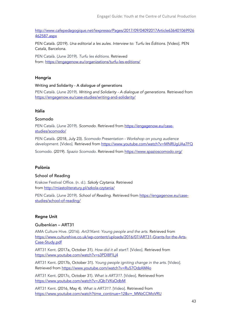http://www.cafepedagogique.net/lexpresso/Pages/2017/09/04092017Article636401069926 462587.aspx

PEN Català. (2019). *Una editorial a les aules. Interview to: Turfu les Éditions*. [Video]. PEN Català, Barcelona.

PEN Català. (June 2019). *Turfu les éditions.* Retrieved from: https://engagenow.eu/organizations/turfu-les-editions/

#### Hongria

#### Writing and Solidarity - A dialogue of generations

PEN Català. (June 2019). *Writing and Solidarity - A dialogue of generations.* Retrieved from https://engagenow.eu/case-studies/writing-and-solidarity/

#### Itàlia

#### Scomodo

PEN Català. (June 2019). *Scomodo.* Retrieved from https://engagenow.eu/casestudies/scomodo/

PEN Català. (2018, July 23). *Scomodo Presentation - Workshop on young audience development.* [Video]. Retrieved from https://www.youtube.com/watch?v=MNRUgUAa7FQ

Scomodo. (2019). *Spazio Scomodo.* Retrieved from https://www.spazioscomodo.org/

#### Polònia

#### School of Reading

Krakow Festival Office. (n. d.). *Szko*ł*y Czytania.* Retrieved from http://miastoliteratury.pl/szkola-czytania/

PEN Català. (June 2019). *School of Reading.* Retrieved from https://engagenow.eu/casestudies/school-of-reading/

#### Regne Unit

#### Gulbenkian – ART31

AMA Culture Hive. (2016). *Art31Kent: Young people and the arts*. Retrieved from https://www.culturehive.co.uk/wp-content/uploads/2016/07/ART31-Grants-for-the-Arts-Case-Study.pdf

ART31 Kent. (2017a, October 31). *How did it all start?.* [Video]. Retrieved from https://www.youtube.com/watch?v=s3PDl8FlLj4

ART31 Kent. (2017b, October 31). *Young people igniting change in the arts.* [Video]. Retrieved from https://www.youtube.com/watch?v=Ru57OdzAM4o

ART31 Kent. (2017c, October 31). *What is ART31?.* [Video]. Retrieved from https://www.youtube.com/watch?v=JQb1VKsOdbM

ART31 Kent. (2016, May 4). *What is ART31?.* [Video]. Retrieved from https://www.youtube.com/watch?time\_continue=12&v=\_MWzCCMoVRU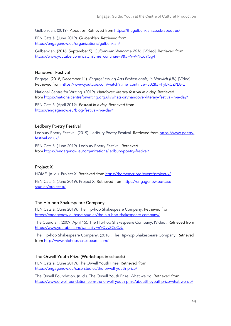Gulbenkian. (2019). *About us.* Retrieved from https://thegulbenkian.co.uk/about-us/

PEN Català. (June 2019). *Gulbenkian.* Retrieved from https://engagenow.eu/organizations/gulbenkian/

Gulbenkian. (2016, September 5). *Gulbenkian Welcome 2016.* [Vídeo]. Retrieved from https://www.youtube.com/watch?time\_continue=9&v=V-V-NCqYGg4

#### Handover Festival

Engage! (2018, December 11). *Engage! Young Arts Professionals, in Norwich (UK).* [Vídeo]. Retrieved from https://www.youtube.com/watch?time\_continue=302&v=PyBkGZPE8-E

National Centre for Writing. (2019). *Handover: literary festival in a day.* Retrieved from https://nationalcentreforwriting.org.uk/whats-on/handover-literary-festival-in-a-day/

PEN Català. (April 2019). *Festival in a day.* Retrieved from https://engagenow.eu/blog/festival-in-a-day/

#### Ledbury Poetry Festival

Ledbury Poetry Festival. (2019). Ledbury Poetry Festival. Retrieved from https://www.poetryfestival.co.uk/

PEN Català. (June 2019). Ledbury Poetry Festival. Retrieved from https://engagenow.eu/organizations/ledbury-poetry-festival/

#### Project X

HOME. (n. d.). Project X. Retrieved from https://homemcr.org/event/project-x/

PEN Català. (June 2019). Project X. Retrieved from https://engagenow.eu/casestudies/project-x/

#### The Hip-hop Shakespeare Company

PEN Català. (June 2019). The Hip-hop Shakespeare Company. Retrieved from https://engagenow.eu/case-studies/the-hip-hop-shakespeare-company/

The Guardian. (2009, April 15). The Hip-hop Shakespeare Company. [Video]. Retrieved from https://www.youtube.com/watch?v=nYQvyZCuCzU

The Hip-hop Shakespeare Company. (2018). The Hip-hop Shakespeare Company. Retrieved from http://www.hiphopshakespeare.com/

#### The Orwell Youth Prize (Workshops in schools)

PEN Català. (June 2019). The Orwell Youth Prize. Retrieved from https://engagenow.eu/case-studies/the-orwell-youth-prize/

The Orwell Foundation. (n. d.). The Orwell Youth Prize: What we do. Retrieved from https://www.orwellfoundation.com/the-orwell-youth-prize/abouttheyouthprize/what-we-do/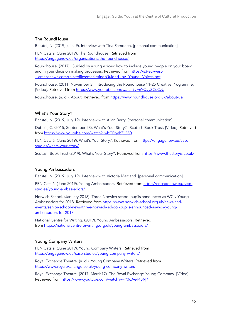#### The RoundHouse

Barutel, N. (2019, juliol 9). Interview with Tina Ramdeen. [personal communication]

PEN Català. (June 2019). The Roundhouse. Retrieved from https://engagenow.eu/organizations/the-roundhouse/

Roundhouse. (2017). Guided by young voices: how to include young people on your board and in your decision making processes. Retrieved from https://s3-eu-west-1.amazonaws.com/rh-sitefiles/marketing/Guided+by+Young+Voices.pdf

Roundhouse. (2011, November 3). Introducing the Roundhouse 11-25 Creative Programme. [Video]. Retrieved from https://www.youtube.com/watch?v=nYQvyZCuCzU

Roundhouse. (n. d.). About. Retrieved from https://www.roundhouse.org.uk/about-us/

#### What's Your Story?

Barutel, N. (2019, July 19). Interview with Allan Berry. [personal communication]

Dubois, C. (2015, September 23). What's Your Story? | Scottish Book Trust. [Video]. Retrieved from https://www.youtube.com/watch?v=bCFIyahZHVQ

PEN Català. (June 2019). What's Your Story?. Retrieved from https://engagenow.eu/casestudies/whats-your-story/

Scottish Book Trust (2019). What's Your Story?. Retrieved from https://www.thestoryis.co.uk/

#### Young Ambassadors

Barutel, N. (2019, July 19). Interview with Victoria Maitland. [personal communication]

PEN Català. (June 2019). Young Ambassadors. Retrieved from https://engagenow.eu/casestudies/young-ambassadors/

Norwich School. (January 2018). Three Norwich school pupils announced as WCN Young Ambassadors for 2018. Retrieved from https://www.norwich-school.org.uk/news-andevents/senior-school-news/three-norwich-school-pupils-announced-as-wcn-youngambassadors-for-2018

National Centre for Writing. (2019). Young Ambassadors. Retrieved from https://nationalcentreforwriting.org.uk/young-ambassadors/

#### Young Company Writers

PEN Català. (June 2019). Young Company Writers. Retrieved from https://engagenow.eu/case-studies/young-company-writers/

Royal Exchange Theatre. (n. d.). Young Company Writers. Retrieved from https://www.royalexchange.co.uk/young-company-writers

Royal Exchange Theatre. (2017, March17). The Royal Exchange Young Company. [Vídeo]. Retrieved from https://www.youtube.com/watch?v=Y0qAe448Nj4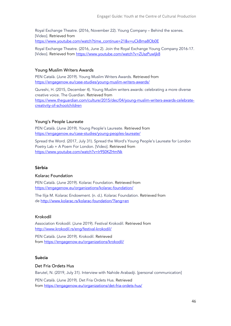Royal Exchange Theatre. (2016, November 22). Young Company – Behind the scenes. [Video]. Retrieved from https://www.youtube.com/watch?time\_continue=21&v=uCkBma8Ob0E

Royal Exchange Theatre. (2016, June 2). Join the Royal Exchange Young Company 2016-17. [Video]. Retrieved from https://www.youtube.com/watch?v=ZUszPuwIjk8

#### Young Muslim Writers Awards

PEN Català. (June 2019). Young Muslim Writers Awards. Retrieved from https://engagenow.eu/case-studies/young-muslim-writers-awards/

Qureshi, H. (2015, December 4). Young Muslim writers awards: celebrating a more diverse creative voice. The Guardian. Retrieved from https://www.theguardian.com/culture/2015/dec/04/young-muslim-writers-awards-celebratecreativity-of-schoolchildren

#### Young's People Laureate

PEN Català. (June 2019). Young People's Laureate. Retrieved from https://engagenow.eu/case-studies/young-peoples-laureate/

Spread the Word. (2017, July 31). Spread the Word's Young People's Laureate for London Poetry Lab + A Poem For London. [Video]. Retrieved from https://www.youtube.com/watch?v=Ir9S0KZHmNk

#### Sèrbia

#### Kolarac Foundation

PEN Català. (June 2019). Kolarac Foundation. Retrieved from https://engagenow.eu/organizations/kolarac-foundation/

The Ilija M. Kolarac Endowment. (n. d.). Kolarac Foundation. Retrieved from de http://www.kolarac.rs/kolarac-foundation/?lang=en

#### Krokodil

Association Krokodil. (June 2019). Festival Krokodil. Retrieved from http://www.krokodil.rs/eng/festival-krokodil/

PEN Català. (June 2019). Krokodil. Retrieved from https://engagenow.eu/organizations/krokodil/

#### Suècia

#### Det Fria Ordets Hus

Barutel, N. (2019, July 31). Interview with Nahide Arabadji. [personal communication]

PEN Català. (June 2019). Det Fria Ordets Hus. Retrieved from https://engagenow.eu/organizations/det-fria-ordets-hus/